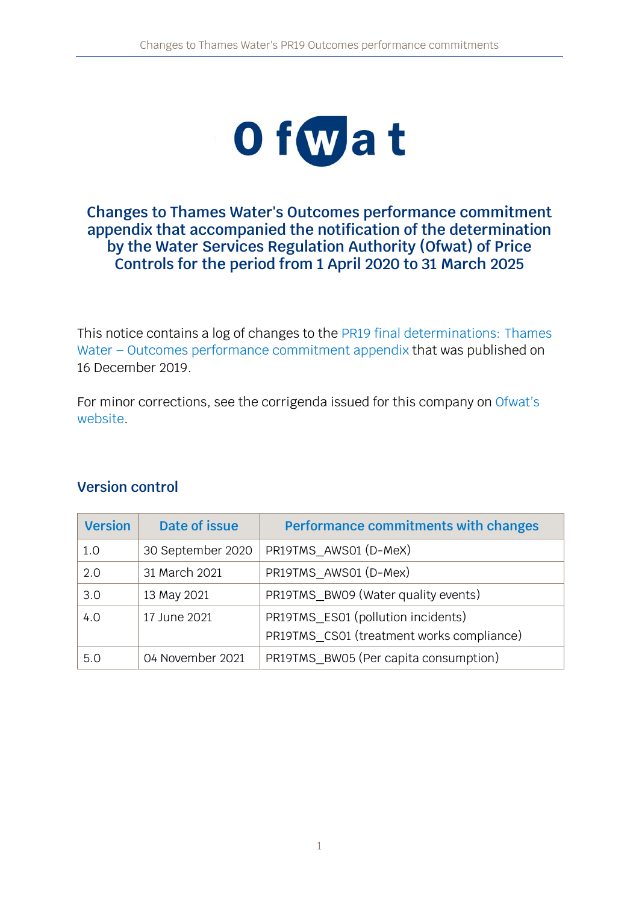

### **Changes to Thames Water's Outcomes performance commitment appendix that accompanied the notification of the determination by the Water Services Regulation Authority (Ofwat) of Price Controls for the period from 1 April 2020 to 31 March 2025**

This notice contains a log of changes to the [PR19 final determinations:](https://www.ofwat.gov.uk/publication/pr19-final-determinations-thames-water-outcomes-performance-commitment-appendix/) Thames Water – [Outcomes performance commitment appendix](https://www.ofwat.gov.uk/publication/pr19-final-determinations-thames-water-outcomes-performance-commitment-appendix/) that was published on 16 December 2019.

For minor corrections, see the corrigenda issued for this company on [Ofwat's](https://www.ofwat.gov.uk/regulated-companies/price-review/2019-price-review/pr19-outcomes-performance-commitments-changes-and-corrections/) [website.](https://www.ofwat.gov.uk/regulated-companies/price-review/2019-price-review/pr19-outcomes-performance-commitments-changes-and-corrections/)

## **Version control**

| <b>Version</b> | Date of issue     | Performance commitments with changes      |
|----------------|-------------------|-------------------------------------------|
| 1.0            | 30 September 2020 | PR19TMS_AWS01 (D-MeX)                     |
| 2.0            | 31 March 2021     | PR19TMS AWS01 (D-Mex)                     |
| 3.0            | 13 May 2021       | PR19TMS BW09 (Water quality events)       |
| 4.0            | 17 June 2021      | PR19TMS_ES01 (pollution incidents)        |
|                |                   | PR19TMS CS01 (treatment works compliance) |
| 5.0            | 04 November 2021  | PR19TMS_BW05 (Per capita consumption)     |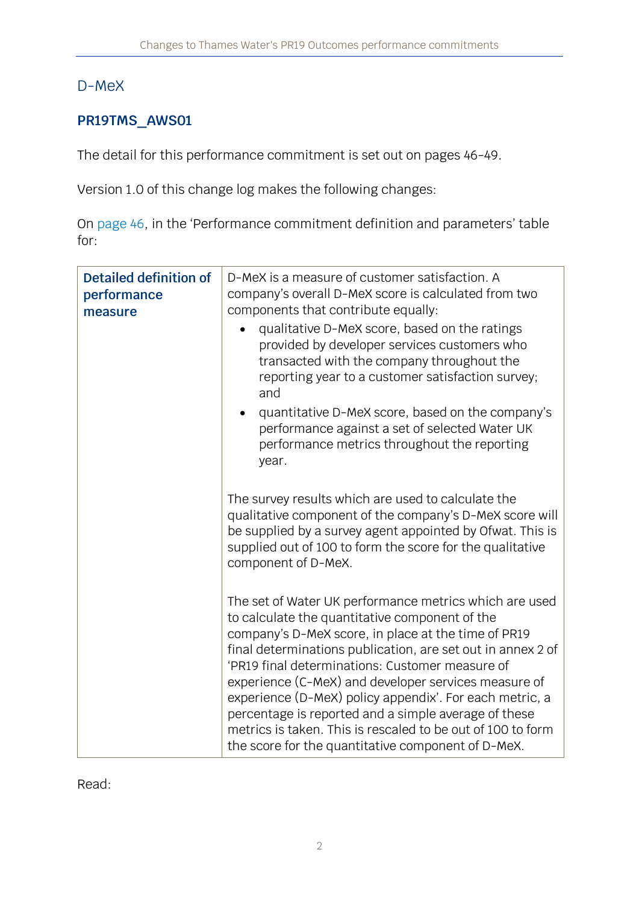## D-MeX

## **PR19TMS\_AWS01**

The detail for this performance commitment is set out on pages 46-49.

Version 1.0 of this change log makes the following changes:

On [page 46](https://www.ofwat.gov.uk/wp-content/uploads/2019/12/PR19-final-determinations-Thames-Water-%E2%80%93-Outcomes-performance-commitment-appendix.pdf#page=47), in the 'Performance commitment definition and parameters' table for:

| <b>Detailed definition of</b><br>performance<br>measure | D-MeX is a measure of customer satisfaction. A<br>company's overall D-MeX score is calculated from two<br>components that contribute equally:<br>qualitative D-MeX score, based on the ratings<br>provided by developer services customers who<br>transacted with the company throughout the<br>reporting year to a customer satisfaction survey;<br>and<br>quantitative D-MeX score, based on the company's<br>performance against a set of selected Water UK<br>performance metrics throughout the reporting<br>year.                                                           |
|---------------------------------------------------------|-----------------------------------------------------------------------------------------------------------------------------------------------------------------------------------------------------------------------------------------------------------------------------------------------------------------------------------------------------------------------------------------------------------------------------------------------------------------------------------------------------------------------------------------------------------------------------------|
|                                                         | The survey results which are used to calculate the<br>qualitative component of the company's D-MeX score will<br>be supplied by a survey agent appointed by Ofwat. This is<br>supplied out of 100 to form the score for the qualitative<br>component of D-MeX.                                                                                                                                                                                                                                                                                                                    |
|                                                         | The set of Water UK performance metrics which are used<br>to calculate the quantitative component of the<br>company's D-MeX score, in place at the time of PR19<br>final determinations publication, are set out in annex 2 of<br>'PR19 final determinations: Customer measure of<br>experience (C-MeX) and developer services measure of<br>experience (D-MeX) policy appendix'. For each metric, a<br>percentage is reported and a simple average of these<br>metrics is taken. This is rescaled to be out of 100 to form<br>the score for the quantitative component of D-MeX. |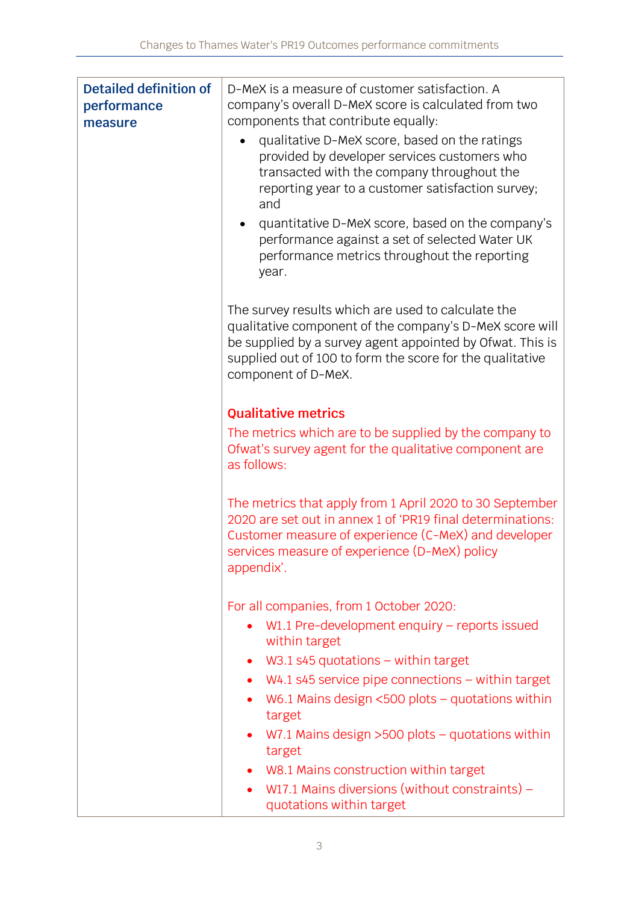| <b>Detailed definition of</b><br>performance<br>measure | D-MeX is a measure of customer satisfaction. A<br>company's overall D-MeX score is calculated from two<br>components that contribute equally:                                                                                                                  |
|---------------------------------------------------------|----------------------------------------------------------------------------------------------------------------------------------------------------------------------------------------------------------------------------------------------------------------|
|                                                         | qualitative D-MeX score, based on the ratings<br>provided by developer services customers who<br>transacted with the company throughout the<br>reporting year to a customer satisfaction survey;<br>and                                                        |
|                                                         | quantitative D-MeX score, based on the company's<br>performance against a set of selected Water UK<br>performance metrics throughout the reporting<br>year.                                                                                                    |
|                                                         | The survey results which are used to calculate the<br>qualitative component of the company's D-MeX score will<br>be supplied by a survey agent appointed by Ofwat. This is<br>supplied out of 100 to form the score for the qualitative<br>component of D-MeX. |
|                                                         | <b>Qualitative metrics</b>                                                                                                                                                                                                                                     |
|                                                         | The metrics which are to be supplied by the company to<br>Ofwat's survey agent for the qualitative component are<br>as follows:                                                                                                                                |
|                                                         | The metrics that apply from 1 April 2020 to 30 September<br>2020 are set out in annex 1 of 'PR19 final determinations:<br>Customer measure of experience (C-MeX) and developer<br>services measure of experience (D-MeX) policy<br>appendix'.                  |
|                                                         | For all companies, from 1 October 2020:                                                                                                                                                                                                                        |
|                                                         | W1.1 Pre-development enquiry $-$ reports issued<br>within target                                                                                                                                                                                               |
|                                                         | W3.1 s45 quotations $-$ within target<br>$\bullet$                                                                                                                                                                                                             |
|                                                         | $W4.1$ s45 service pipe connections $-$ within target<br>$\bullet$                                                                                                                                                                                             |
|                                                         | W6.1 Mains design $<500$ plots – quotations within<br>target                                                                                                                                                                                                   |
|                                                         | W7.1 Mains design $>500$ plots – quotations within<br>target                                                                                                                                                                                                   |
|                                                         | • W8.1 Mains construction within target                                                                                                                                                                                                                        |
|                                                         | W17.1 Mains diversions (without constraints) $-$<br>$\bullet$<br>quotations within target                                                                                                                                                                      |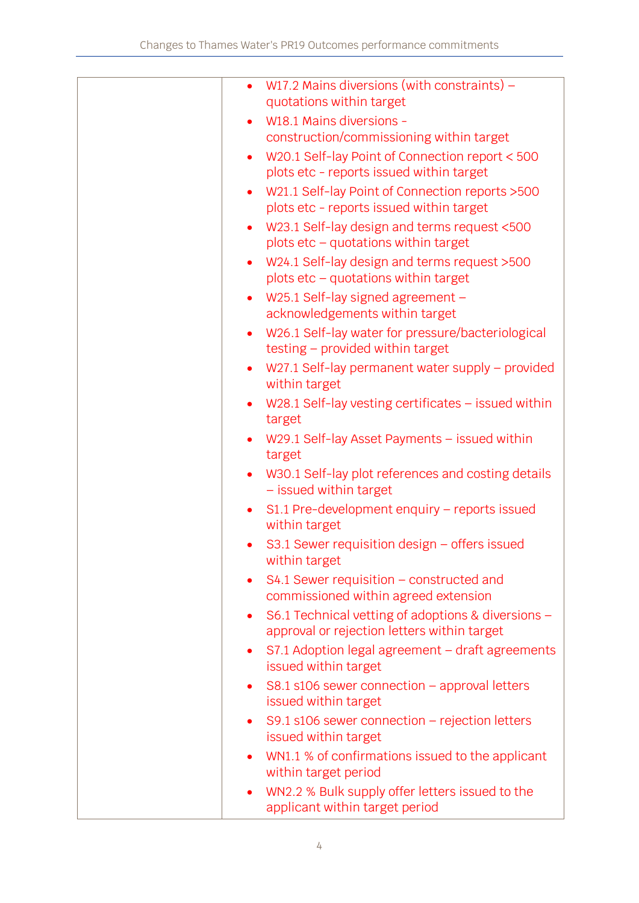| W17.2 Mains diversions (with constraints) $-$<br>$\bullet$<br>quotations within target                         |
|----------------------------------------------------------------------------------------------------------------|
| W18.1 Mains diversions -<br>$\bullet$                                                                          |
| construction/commissioning within target                                                                       |
| W20.1 Self-lay Point of Connection report < 500<br>$\bullet$<br>plots etc - reports issued within target       |
| W21.1 Self-lay Point of Connection reports > 500<br>$\bullet$                                                  |
| plots etc - reports issued within target                                                                       |
| W23.1 Self-lay design and terms request <500<br>$\bullet$<br>plots etc - quotations within target              |
| W24.1 Self-lay design and terms request >500<br>$\bullet$                                                      |
| plots $etc - quotations$ within target                                                                         |
| W25.1 Self-lay signed agreement -<br>$\bullet$<br>acknowledgements within target                               |
| W26.1 Self-lay water for pressure/bacteriological<br>$\bullet$                                                 |
| testing - provided within target                                                                               |
| W27.1 Self-lay permanent water supply - provided<br>$\bullet$<br>within target                                 |
| W28.1 Self-lay vesting certificates - issued within<br>$\bullet$<br>target                                     |
| W29.1 Self-lay Asset Payments - issued within<br>$\bullet$<br>target                                           |
| W30.1 Self-lay plot references and costing details<br>$\bullet$<br>- issued within target                      |
| S1.1 Pre-development enquiry - reports issued<br>$\bullet$<br>within target                                    |
| S3.1 Sewer requisition design $-$ offers issued<br>$\bullet$<br>within target                                  |
| S4.1 Sewer requisition – constructed and<br>$\bullet$<br>commissioned within agreed extension                  |
| S6.1 Technical vetting of adoptions & diversions -<br>$\bullet$<br>approval or rejection letters within target |
| S7.1 Adoption legal agreement - draft agreements<br>$\bullet$<br>issued within target                          |
| S8.1 s106 sewer connection - approval letters<br>$\bullet$<br>issued within target                             |
| S9.1 s106 sewer connection - rejection letters<br>$\bullet$<br>issued within target                            |
|                                                                                                                |
| WN1.1 % of confirmations issued to the applicant<br>٠<br>within target period                                  |
| WN2.2 % Bulk supply offer letters issued to the<br>$\bullet$<br>applicant within target period                 |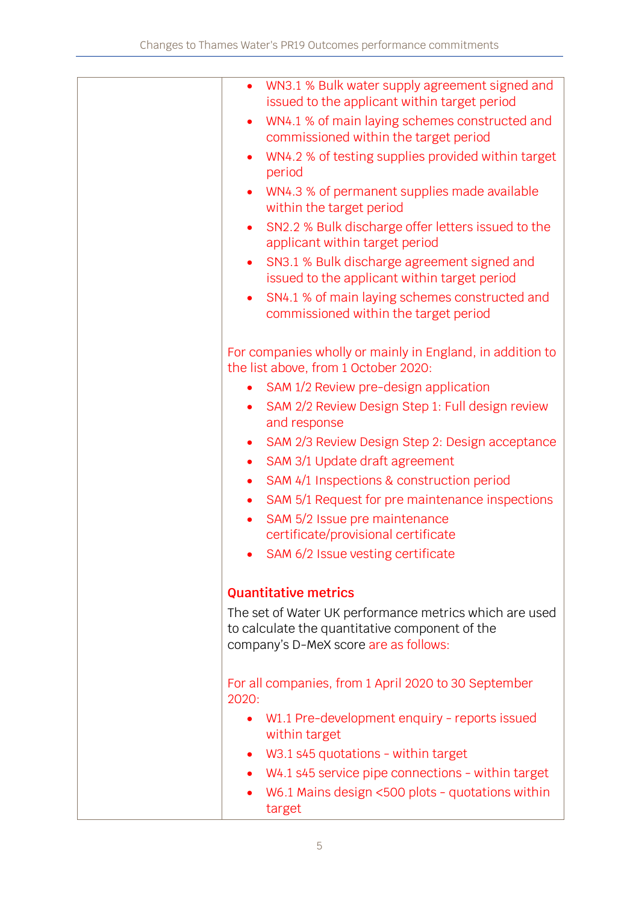| $\bullet$ | WN3.1 % Bulk water supply agreement signed and<br>issued to the applicant within target period    |
|-----------|---------------------------------------------------------------------------------------------------|
|           | WN4.1 % of main laying schemes constructed and<br>commissioned within the target period           |
|           | WN4.2 % of testing supplies provided within target<br>period                                      |
|           | WN4.3 % of permanent supplies made available<br>within the target period                          |
| $\bullet$ | SN2.2 % Bulk discharge offer letters issued to the<br>applicant within target period              |
|           | SN3.1 % Bulk discharge agreement signed and<br>issued to the applicant within target period       |
| $\bullet$ | SN4.1 % of main laying schemes constructed and<br>commissioned within the target period           |
|           | For companies wholly or mainly in England, in addition to<br>the list above, from 1 October 2020: |
|           | SAM 1/2 Review pre-design application                                                             |
| $\bullet$ | SAM 2/2 Review Design Step 1: Full design review<br>and response                                  |
| ٠         | SAM 2/3 Review Design Step 2: Design acceptance                                                   |
| $\bullet$ | SAM 3/1 Update draft agreement                                                                    |
| $\bullet$ | SAM 4/1 Inspections & construction period                                                         |
| $\bullet$ | SAM 5/1 Request for pre maintenance inspections                                                   |
| $\bullet$ | SAM 5/2 Issue pre maintenance                                                                     |
|           | certificate/provisional certificate                                                               |
|           | SAM 6/2 Issue vesting certificate                                                                 |
|           |                                                                                                   |
|           | <b>Quantitative metrics</b>                                                                       |
|           | The set of Water UK performance metrics which are used                                            |
|           | to calculate the quantitative component of the                                                    |
|           | company's D-MeX score are as follows:                                                             |
|           | For all companies, from 1 April 2020 to 30 September                                              |
| 2020:     |                                                                                                   |
| $\bullet$ | W1.1 Pre-development enquiry - reports issued<br>within target                                    |
|           | W3.1 s45 quotations - within target                                                               |
|           | W4.1 s45 service pipe connections - within target                                                 |
|           | W6.1 Mains design <500 plots - quotations within<br>target                                        |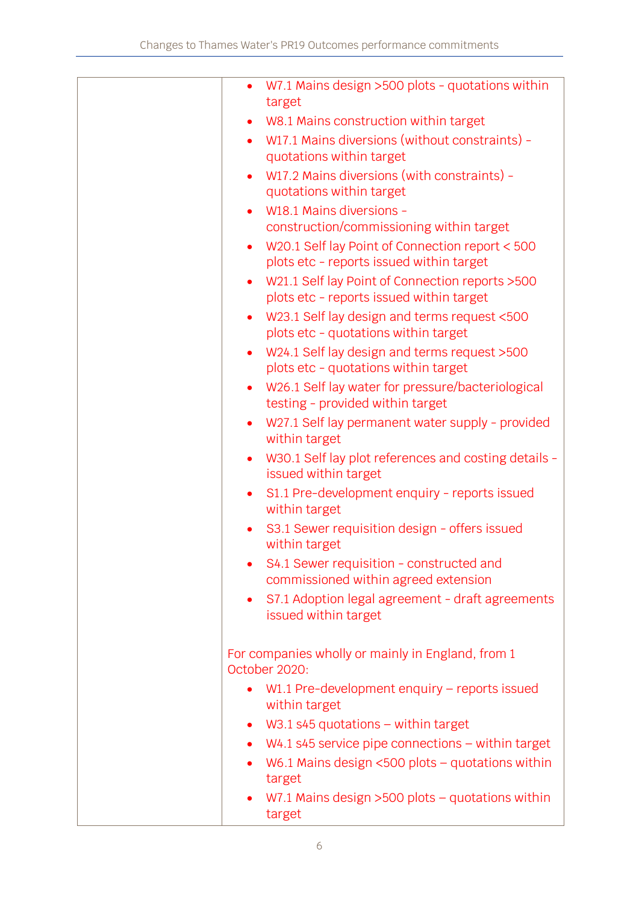| $\bullet$ | W7.1 Mains design >500 plots - quotations within<br>target                                   |
|-----------|----------------------------------------------------------------------------------------------|
|           | W8.1 Mains construction within target                                                        |
| $\bullet$ | W17.1 Mains diversions (without constraints) -<br>quotations within target                   |
| $\bullet$ | W17.2 Mains diversions (with constraints) -                                                  |
|           | quotations within target                                                                     |
|           | W18.1 Mains diversions -                                                                     |
|           | construction/commissioning within target                                                     |
| $\bullet$ | W20.1 Self lay Point of Connection report < 500<br>plots etc - reports issued within target  |
| $\bullet$ | W21.1 Self lay Point of Connection reports > 500<br>plots etc - reports issued within target |
| $\bullet$ | W23.1 Self lay design and terms request <500                                                 |
|           | plots etc - quotations within target                                                         |
| $\bullet$ | W24.1 Self lay design and terms request >500<br>plots etc - quotations within target         |
|           | W26.1 Self lay water for pressure/bacteriological<br>testing - provided within target        |
| $\bullet$ | W27.1 Self lay permanent water supply - provided<br>within target                            |
| $\bullet$ | W30.1 Self lay plot references and costing details -<br>issued within target                 |
| $\bullet$ | S1.1 Pre-development enquiry - reports issued<br>within target                               |
|           | S3.1 Sewer requisition design - offers issued<br>within target                               |
|           | S4.1 Sewer requisition - constructed and<br>commissioned within agreed extension             |
| $\bullet$ | S7.1 Adoption legal agreement - draft agreements<br>issued within target                     |
|           | For companies wholly or mainly in England, from 1<br>October 2020:                           |
|           | W1.1 Pre-development enquiry – reports issued<br>within target                               |
| $\bullet$ | $W3.1$ s45 quotations – within target                                                        |
| $\bullet$ | $W4.1$ s45 service pipe connections – within target                                          |
| $\bullet$ | W6.1 Mains design $<500$ plots – quotations within                                           |
|           | target                                                                                       |
|           | W7.1 Mains design $>500$ plots - quotations within<br>target                                 |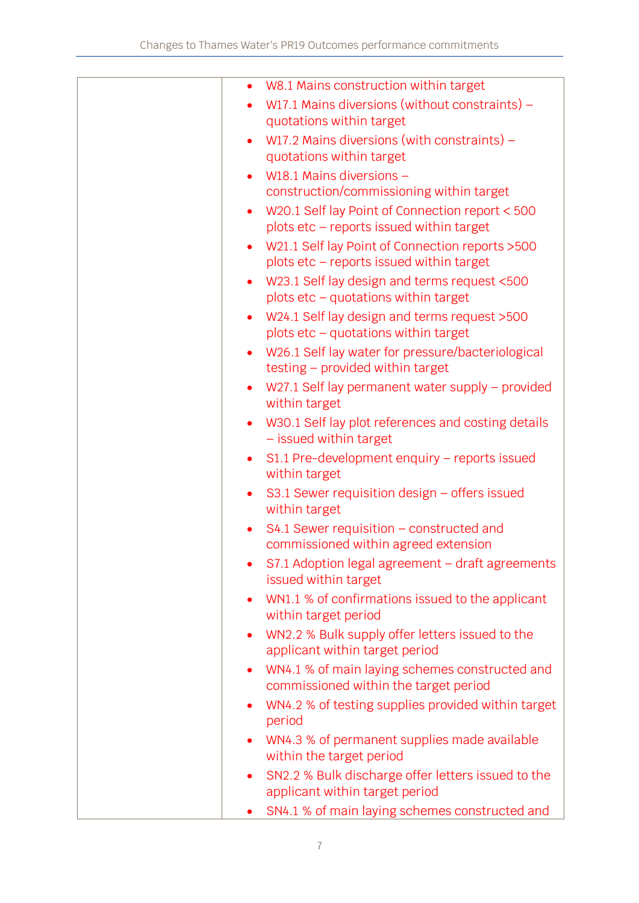| $\bullet$ | W8.1 Mains construction within target                                                        |
|-----------|----------------------------------------------------------------------------------------------|
|           | W17.1 Mains diversions (without constraints) -                                               |
|           | quotations within target                                                                     |
| $\bullet$ | W17.2 Mains diversions (with constraints) $-$                                                |
|           | quotations within target                                                                     |
|           | W18.1 Mains diversions -                                                                     |
|           | construction/commissioning within target                                                     |
|           | W20.1 Self lay Point of Connection report < 500<br>plots etc - reports issued within target  |
|           | W21.1 Self lay Point of Connection reports > 500<br>plots etc - reports issued within target |
| $\bullet$ | W23.1 Self lay design and terms request <500<br>plots etc - quotations within target         |
| $\bullet$ | W24.1 Self lay design and terms request >500                                                 |
|           | plots etc - quotations within target                                                         |
| $\bullet$ | W26.1 Self lay water for pressure/bacteriological<br>testing - provided within target        |
|           | W27.1 Self lay permanent water supply – provided<br>within target                            |
|           | W30.1 Self lay plot references and costing details<br>- issued within target                 |
| $\bullet$ | $S1.1$ Pre-development enquiry – reports issued<br>within target                             |
|           | S3.1 Sewer requisition design – offers issued<br>within target                               |
|           | $S4.1$ Sewer requisition – constructed and<br>commissioned within agreed extension           |
|           | S7.1 Adoption legal agreement - draft agreements<br>issued within target                     |
| $\bullet$ | WN1.1 % of confirmations issued to the applicant<br>within target period                     |
| $\bullet$ | WN2.2 % Bulk supply offer letters issued to the<br>applicant within target period            |
| $\bullet$ | WN4.1 % of main laying schemes constructed and<br>commissioned within the target period      |
| $\bullet$ | WN4.2 % of testing supplies provided within target<br>period                                 |
| $\bullet$ | WN4.3 % of permanent supplies made available                                                 |
|           | within the target period                                                                     |
| $\bullet$ | SN2.2 % Bulk discharge offer letters issued to the<br>applicant within target period         |
|           | SN4.1 % of main laying schemes constructed and                                               |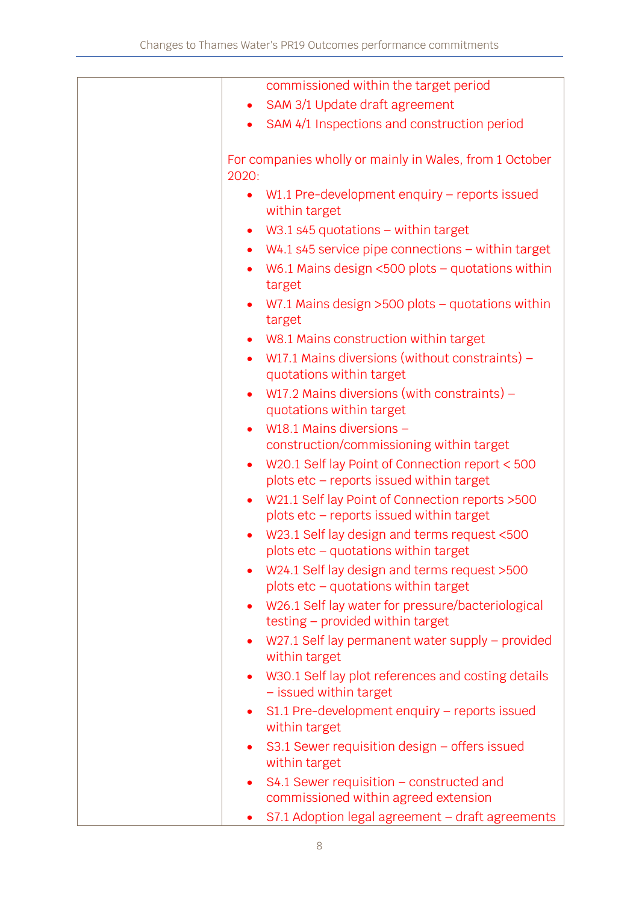| commissioned within the target period                                                                     |
|-----------------------------------------------------------------------------------------------------------|
| SAM 3/1 Update draft agreement                                                                            |
| SAM 4/1 Inspections and construction period                                                               |
| For companies wholly or mainly in Wales, from 1 October<br>2020:                                          |
| W1.1 Pre-development enquiry $-$ reports issued<br>$\bullet$<br>within target                             |
| $W3.1$ s45 quotations – within target<br>$\bullet$                                                        |
| $W4.1$ s45 service pipe connections $-$ within target<br>$\bullet$                                        |
| W6.1 Mains design $<500$ plots - quotations within<br>$\bullet$<br>target                                 |
| W7.1 Mains design $>500$ plots - quotations within<br>$\bullet$<br>target                                 |
| W8.1 Mains construction within target<br>$\bullet$                                                        |
| W17.1 Mains diversions (without constraints) $-$<br>$\bullet$<br>quotations within target                 |
| W17.2 Mains diversions (with constraints) $-$<br>$\bullet$<br>quotations within target                    |
| W18.1 Mains diversions -<br>$\bullet$                                                                     |
| construction/commissioning within target                                                                  |
| W20.1 Self lay Point of Connection report < 500<br>$\bullet$<br>plots etc - reports issued within target  |
| W21.1 Self lay Point of Connection reports > 500<br>$\bullet$<br>plots etc - reports issued within target |
| W23.1 Self lay design and terms request <500<br>plots etc - quotations within target                      |
| W24.1 Self lay design and terms request >500<br>plots $etc - quotations$ within target                    |
| W26.1 Self lay water for pressure/bacteriological<br>$\bullet$<br>testing - provided within target        |
| W27.1 Self lay permanent water supply - provided<br>$\bullet$<br>within target                            |
| W30.1 Self lay plot references and costing details<br>$\bullet$<br>- issued within target                 |
| S1.1 Pre-development enquiry - reports issued<br>$\bullet$<br>within target                               |
| S3.1 Sewer requisition design $-$ offers issued<br>$\bullet$<br>within target                             |
| $S4.1$ Sewer requisition – constructed and<br>٠<br>commissioned within agreed extension                   |
| S7.1 Adoption legal agreement - draft agreements<br>٠                                                     |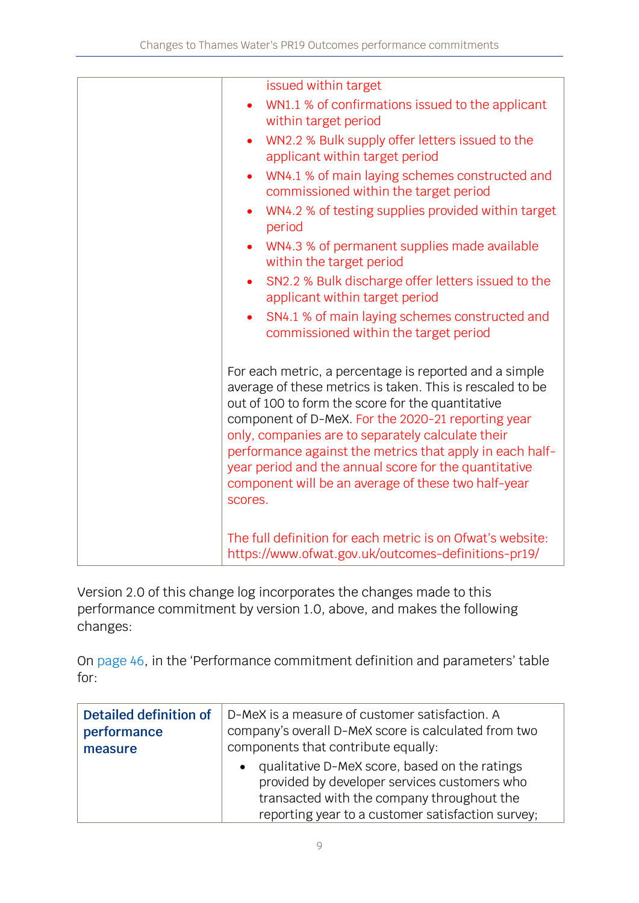|  | issued within target                                                                                                                                                                                                                                                                                                                                                                                                                                                       |
|--|----------------------------------------------------------------------------------------------------------------------------------------------------------------------------------------------------------------------------------------------------------------------------------------------------------------------------------------------------------------------------------------------------------------------------------------------------------------------------|
|  | WN1.1 % of confirmations issued to the applicant<br>within target period                                                                                                                                                                                                                                                                                                                                                                                                   |
|  | WN2.2 % Bulk supply offer letters issued to the<br>applicant within target period                                                                                                                                                                                                                                                                                                                                                                                          |
|  | WN4.1 % of main laying schemes constructed and<br>$\bullet$<br>commissioned within the target period                                                                                                                                                                                                                                                                                                                                                                       |
|  | WN4.2 % of testing supplies provided within target<br>period                                                                                                                                                                                                                                                                                                                                                                                                               |
|  | WN4.3 % of permanent supplies made available<br>within the target period                                                                                                                                                                                                                                                                                                                                                                                                   |
|  | SN2.2 % Bulk discharge offer letters issued to the<br>applicant within target period                                                                                                                                                                                                                                                                                                                                                                                       |
|  | SN4.1 % of main laying schemes constructed and<br>commissioned within the target period                                                                                                                                                                                                                                                                                                                                                                                    |
|  | For each metric, a percentage is reported and a simple<br>average of these metrics is taken. This is rescaled to be<br>out of 100 to form the score for the quantitative<br>component of D-MeX. For the 2020-21 reporting year<br>only, companies are to separately calculate their<br>performance against the metrics that apply in each half-<br>year period and the annual score for the quantitative<br>component will be an average of these two half-year<br>scores. |
|  | The full definition for each metric is on Ofwat's website:<br>https://www.ofwat.gov.uk/outcomes-definitions-pr19/                                                                                                                                                                                                                                                                                                                                                          |

Version 2.0 of this change log incorporates the changes made to this performance commitment by version 1.0, above, and makes the following changes:

On [page 46](https://www.ofwat.gov.uk/wp-content/uploads/2019/12/PR19-final-determinations-Thames-Water-%E2%80%93-Outcomes-performance-commitment-appendix.pdf#page=47), in the 'Performance commitment definition and parameters' table for:

| Detailed definition of | D-MeX is a measure of customer satisfaction. A                                                                                                                                                                |  |
|------------------------|---------------------------------------------------------------------------------------------------------------------------------------------------------------------------------------------------------------|--|
| performance            | company's overall D-MeX score is calculated from two                                                                                                                                                          |  |
| measure                | components that contribute equally:                                                                                                                                                                           |  |
|                        | qualitative D-MeX score, based on the ratings<br>$\bullet$<br>provided by developer services customers who<br>transacted with the company throughout the<br>reporting year to a customer satisfaction survey; |  |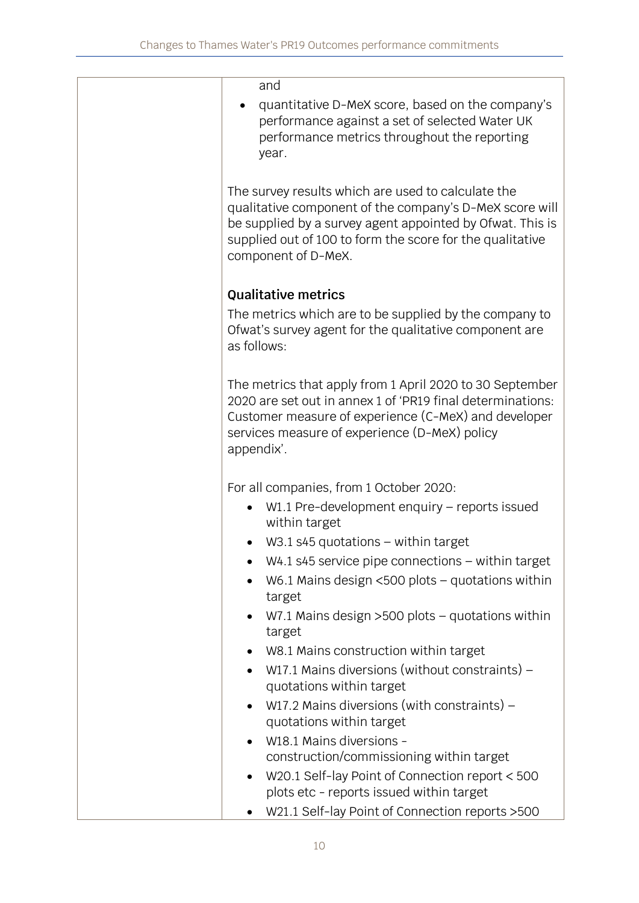| and                                                                                                                                                                                                                                                            |
|----------------------------------------------------------------------------------------------------------------------------------------------------------------------------------------------------------------------------------------------------------------|
| quantitative D-MeX score, based on the company's<br>performance against a set of selected Water UK<br>performance metrics throughout the reporting<br>year.                                                                                                    |
| The survey results which are used to calculate the<br>qualitative component of the company's D-MeX score will<br>be supplied by a survey agent appointed by Ofwat. This is<br>supplied out of 100 to form the score for the qualitative<br>component of D-MeX. |
| <b>Qualitative metrics</b>                                                                                                                                                                                                                                     |
| The metrics which are to be supplied by the company to<br>Ofwat's survey agent for the qualitative component are<br>as follows:                                                                                                                                |
| The metrics that apply from 1 April 2020 to 30 September<br>2020 are set out in annex 1 of 'PR19 final determinations:<br>Customer measure of experience (C-MeX) and developer<br>services measure of experience (D-MeX) policy<br>appendix'.                  |
| For all companies, from 1 October 2020:                                                                                                                                                                                                                        |
| W1.1 Pre-development enquiry – reports issued<br>within target                                                                                                                                                                                                 |
| W3.1 s45 quotations $-$ within target                                                                                                                                                                                                                          |
| $W4.1$ s45 service pipe connections $-$ within target                                                                                                                                                                                                          |
| W6.1 Mains design $<500$ plots - quotations within<br>target                                                                                                                                                                                                   |
| W7.1 Mains design >500 plots - quotations within<br>target                                                                                                                                                                                                     |
| W8.1 Mains construction within target<br>$\bullet$                                                                                                                                                                                                             |
| W17.1 Mains diversions (without constraints) -<br>$\bullet$<br>quotations within target                                                                                                                                                                        |
| W17.2 Mains diversions (with constraints) $-$<br>$\bullet$<br>quotations within target                                                                                                                                                                         |
| W18.1 Mains diversions -                                                                                                                                                                                                                                       |
| construction/commissioning within target                                                                                                                                                                                                                       |
| W20.1 Self-lay Point of Connection report < 500<br>$\bullet$<br>plots etc - reports issued within target                                                                                                                                                       |
| W21.1 Self-lay Point of Connection reports > 500                                                                                                                                                                                                               |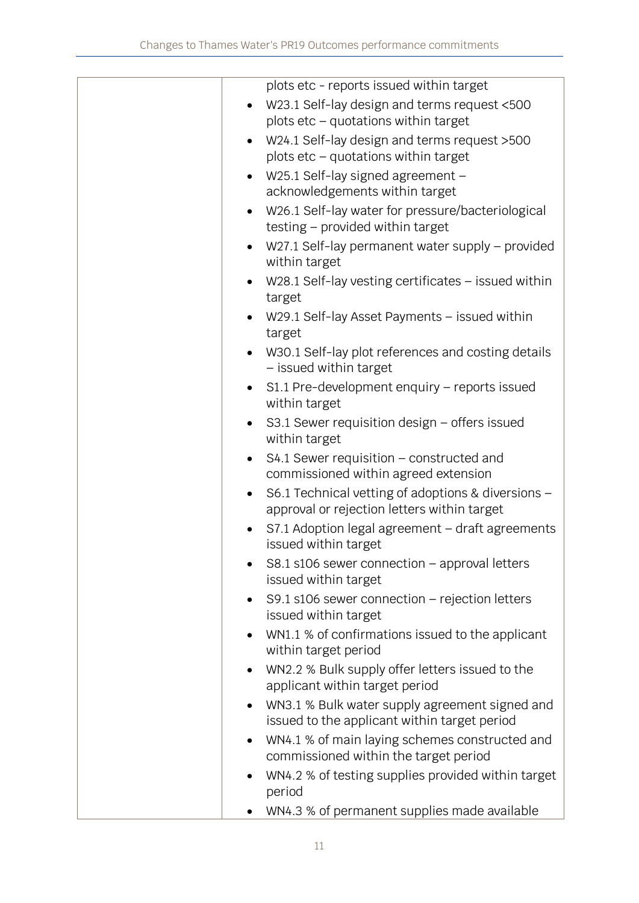|           | plots etc - reports issued within target                                                          |
|-----------|---------------------------------------------------------------------------------------------------|
|           | W23.1 Self-lay design and terms request <500                                                      |
|           | plots etc - quotations within target                                                              |
| $\bullet$ | W24.1 Self-lay design and terms request >500                                                      |
|           | plots $etc -$ quotations within target                                                            |
|           | W25.1 Self-lay signed agreement -                                                                 |
|           | acknowledgements within target                                                                    |
|           | W26.1 Self-lay water for pressure/bacteriological                                                 |
|           | testing - provided within target                                                                  |
| $\bullet$ | W27.1 Self-lay permanent water supply – provided<br>within target                                 |
|           | W28.1 Self-lay vesting certificates $-$ issued within<br>target                                   |
|           | W29.1 Self-lay Asset Payments - issued within<br>target                                           |
|           | W30.1 Self-lay plot references and costing details<br>- issued within target                      |
| $\bullet$ | S1.1 Pre-development enquiry - reports issued<br>within target                                    |
| $\bullet$ | S3.1 Sewer requisition design - offers issued<br>within target                                    |
| $\bullet$ | S4.1 Sewer requisition – constructed and<br>commissioned within agreed extension                  |
| $\bullet$ | S6.1 Technical vetting of adoptions & diversions -<br>approval or rejection letters within target |
|           | S7.1 Adoption legal agreement - draft agreements<br>issued within target                          |
|           | S8.1 s106 sewer connection - approval letters<br>issued within target                             |
| $\bullet$ | S9.1 s106 sewer connection $-$ rejection letters<br>issued within target                          |
|           | WN1.1 % of confirmations issued to the applicant<br>within target period                          |
| $\bullet$ | WN2.2 % Bulk supply offer letters issued to the<br>applicant within target period                 |
|           | WN3.1 % Bulk water supply agreement signed and<br>issued to the applicant within target period    |
| $\bullet$ | WN4.1 % of main laying schemes constructed and                                                    |
|           | commissioned within the target period                                                             |
|           | WN4.2 % of testing supplies provided within target<br>period                                      |
|           | WN4.3 % of permanent supplies made available                                                      |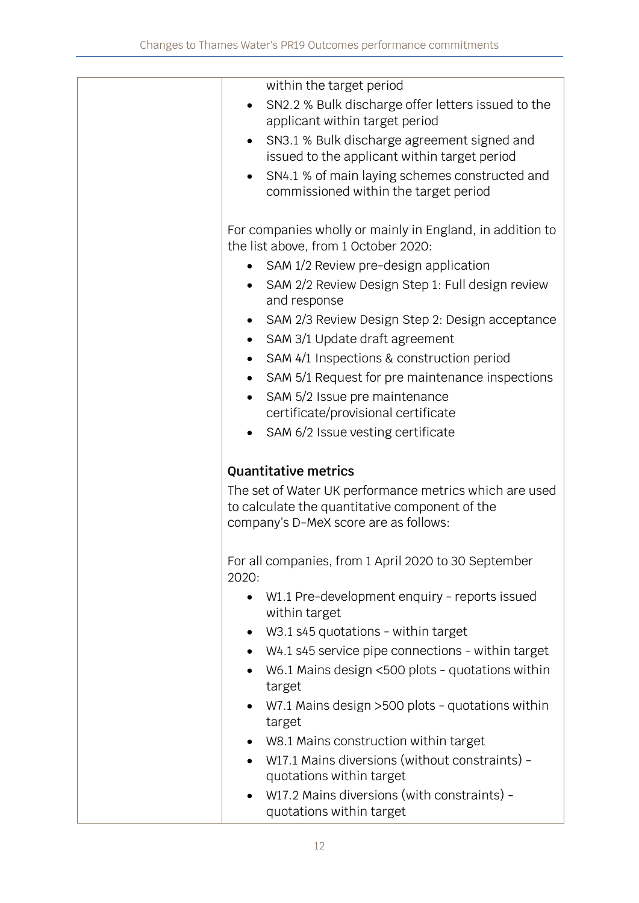| within the target period                                       |
|----------------------------------------------------------------|
| SN2.2 % Bulk discharge offer letters issued to the             |
| applicant within target period                                 |
| SN3.1 % Bulk discharge agreement signed and<br>$\bullet$       |
| issued to the applicant within target period                   |
| SN4.1 % of main laying schemes constructed and                 |
| commissioned within the target period                          |
|                                                                |
| For companies wholly or mainly in England, in addition to      |
| the list above, from 1 October 2020:                           |
| SAM 1/2 Review pre-design application                          |
| SAM 2/2 Review Design Step 1: Full design review               |
| and response                                                   |
| SAM 2/3 Review Design Step 2: Design acceptance                |
|                                                                |
| SAM 3/1 Update draft agreement                                 |
| SAM 4/1 Inspections & construction period                      |
| SAM 5/1 Request for pre maintenance inspections                |
| SAM 5/2 Issue pre maintenance                                  |
| certificate/provisional certificate                            |
| SAM 6/2 Issue vesting certificate                              |
|                                                                |
| <b>Quantitative metrics</b>                                    |
| The set of Water UK performance metrics which are used         |
| to calculate the quantitative component of the                 |
| company's D-MeX score are as follows:                          |
|                                                                |
| For all companies, from 1 April 2020 to 30 September           |
| 2020:                                                          |
| W1.1 Pre-development enquiry - reports issued<br>$\bullet$     |
| within target                                                  |
| W3.1 s45 quotations - within target<br>$\bullet$               |
|                                                                |
| W4.1 s45 service pipe connections - within target<br>$\bullet$ |
| W6.1 Mains design <500 plots - quotations within               |
| target                                                         |
| W7.1 Mains design > 500 plots - quotations within              |
| target                                                         |
| W8.1 Mains construction within target                          |
| W17.1 Mains diversions (without constraints) -                 |
| quotations within target                                       |
| W17.2 Mains diversions (with constraints) -                    |
| quotations within target                                       |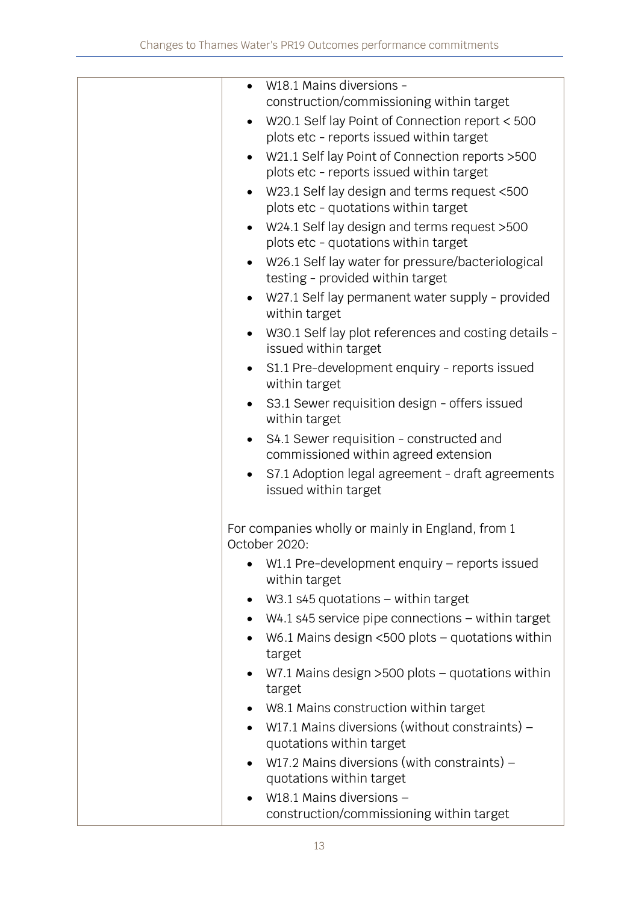| W18.1 Mains diversions -                                                     |
|------------------------------------------------------------------------------|
| construction/commissioning within target                                     |
| W20.1 Self lay Point of Connection report < 500                              |
| plots etc - reports issued within target                                     |
| W21.1 Self lay Point of Connection reports > 500                             |
| plots etc - reports issued within target                                     |
| W23.1 Self lay design and terms request <500                                 |
| plots etc - quotations within target                                         |
| W24.1 Self lay design and terms request >500                                 |
| plots etc - quotations within target                                         |
| W26.1 Self lay water for pressure/bacteriological                            |
| testing - provided within target                                             |
| W27.1 Self lay permanent water supply - provided<br>within target            |
| W30.1 Self lay plot references and costing details -<br>issued within target |
| S1.1 Pre-development enquiry - reports issued                                |
| within target                                                                |
| S3.1 Sewer requisition design - offers issued<br>within target               |
| S4.1 Sewer requisition - constructed and                                     |
| commissioned within agreed extension                                         |
| S7.1 Adoption legal agreement - draft agreements                             |
| issued within target                                                         |
|                                                                              |
| For companies wholly or mainly in England, from 1                            |
| October 2020:                                                                |
| W1.1 Pre-development enquiry - reports issued                                |
| within target                                                                |
| $W3.1$ s45 quotations – within target                                        |
| $W4.1$ s45 service pipe connections $-$ within target<br>$\bullet$           |
| W6.1 Mains design $<500$ plots – quotations within<br>target                 |
| W7.1 Mains design $>500$ plots – quotations within<br>target                 |
| W8.1 Mains construction within target                                        |
| W17.1 Mains diversions (without constraints) –<br>$\bullet$                  |
| quotations within target                                                     |
| W17.2 Mains diversions (with constraints) $-$                                |
| quotations within target                                                     |
| W18.1 Mains diversions -                                                     |
| construction/commissioning within target                                     |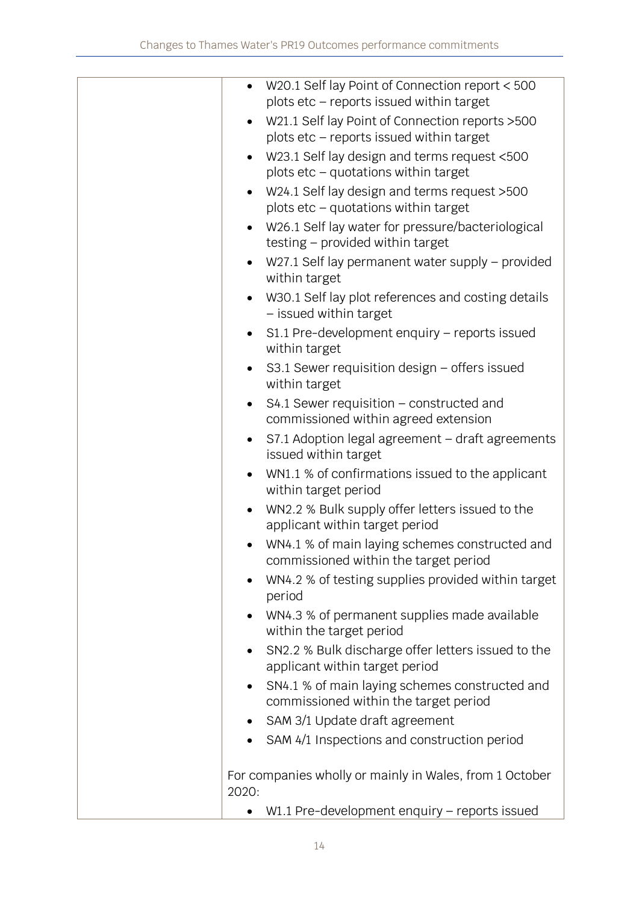| $\bullet$ | W20.1 Self lay Point of Connection report < 500<br>plots etc - reports issued within target  |
|-----------|----------------------------------------------------------------------------------------------|
| $\bullet$ | W21.1 Self lay Point of Connection reports > 500<br>plots etc - reports issued within target |
|           | W23.1 Self lay design and terms request <500<br>plots etc - quotations within target         |
| $\bullet$ | W24.1 Self lay design and terms request >500<br>plots etc - quotations within target         |
|           | W26.1 Self lay water for pressure/bacteriological<br>testing - provided within target        |
|           | W27.1 Self lay permanent water supply - provided<br>within target                            |
|           | W30.1 Self lay plot references and costing details<br>- issued within target                 |
| $\bullet$ | S1.1 Pre-development enquiry - reports issued<br>within target                               |
|           | S3.1 Sewer requisition design - offers issued<br>within target                               |
|           | S4.1 Sewer requisition - constructed and<br>commissioned within agreed extension             |
|           | S7.1 Adoption legal agreement - draft agreements<br>issued within target                     |
|           | WN1.1 % of confirmations issued to the applicant<br>within target period                     |
|           | WN2.2 % Bulk supply offer letters issued to the<br>applicant within target period            |
|           | WN4.1 % of main laying schemes constructed and<br>commissioned within the target period      |
|           | WN4.2 % of testing supplies provided within target<br>period                                 |
|           | WN4.3 % of permanent supplies made available<br>within the target period                     |
| $\bullet$ | SN2.2 % Bulk discharge offer letters issued to the<br>applicant within target period         |
| $\bullet$ | SN4.1 % of main laying schemes constructed and<br>commissioned within the target period      |
| ٠         | SAM 3/1 Update draft agreement                                                               |
|           | SAM 4/1 Inspections and construction period                                                  |
| 2020:     | For companies wholly or mainly in Wales, from 1 October                                      |
|           | W1.1 Pre-development enquiry - reports issued                                                |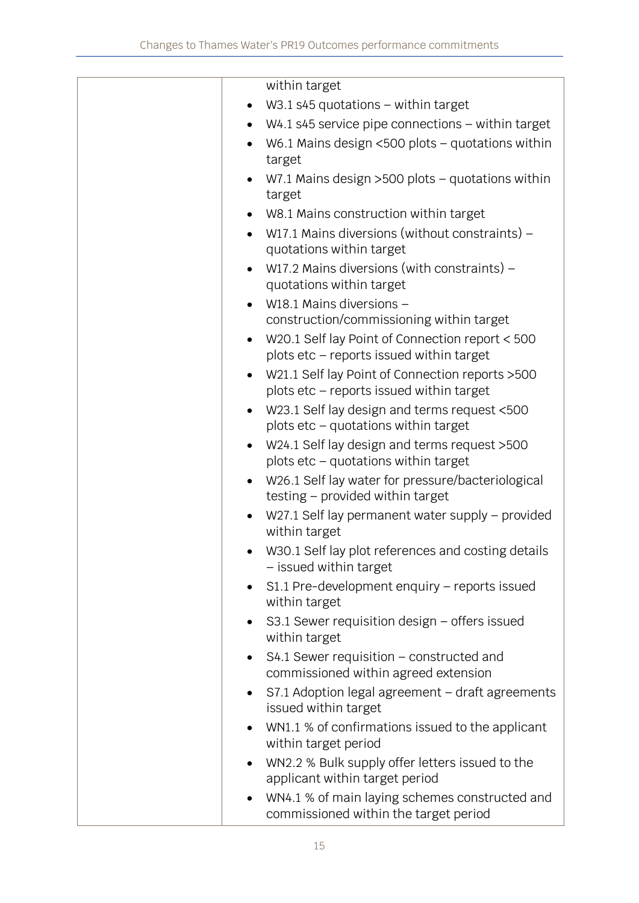|           | within target                                                                                |
|-----------|----------------------------------------------------------------------------------------------|
|           | $W3.1$ s45 quotations – within target                                                        |
|           | $W4.1$ s45 service pipe connections $-$ within target                                        |
|           | W6.1 Mains design $<500$ plots - quotations within<br>target                                 |
|           | W7.1 Mains design $>500$ plots – quotations within<br>target                                 |
| $\bullet$ | W8.1 Mains construction within target                                                        |
| $\bullet$ | W17.1 Mains diversions (without constraints) –<br>quotations within target                   |
| $\bullet$ | W17.2 Mains diversions (with constraints) $-$<br>quotations within target                    |
|           | W18.1 Mains diversions -                                                                     |
|           | construction/commissioning within target                                                     |
| $\bullet$ | W20.1 Self lay Point of Connection report < 500<br>plots etc - reports issued within target  |
|           | W21.1 Self lay Point of Connection reports > 500<br>plots etc - reports issued within target |
| $\bullet$ | W23.1 Self lay design and terms request <500<br>plots etc - quotations within target         |
| $\bullet$ | W24.1 Self lay design and terms request >500<br>plots etc - quotations within target         |
|           | W26.1 Self lay water for pressure/bacteriological<br>testing - provided within target        |
|           | W27.1 Self lay permanent water supply – provided<br>within target                            |
|           | W30.1 Self lay plot references and costing details<br>- issued within target                 |
|           | S1.1 Pre-development enquiry - reports issued<br>within target                               |
|           | S3.1 Sewer requisition design - offers issued<br>within target                               |
| $\bullet$ | S4.1 Sewer requisition – constructed and<br>commissioned within agreed extension             |
| $\bullet$ | S7.1 Adoption legal agreement - draft agreements<br>issued within target                     |
| $\bullet$ | WN1.1 % of confirmations issued to the applicant<br>within target period                     |
| $\bullet$ | WN2.2 % Bulk supply offer letters issued to the<br>applicant within target period            |
| $\bullet$ | WN4.1 % of main laying schemes constructed and<br>commissioned within the target period      |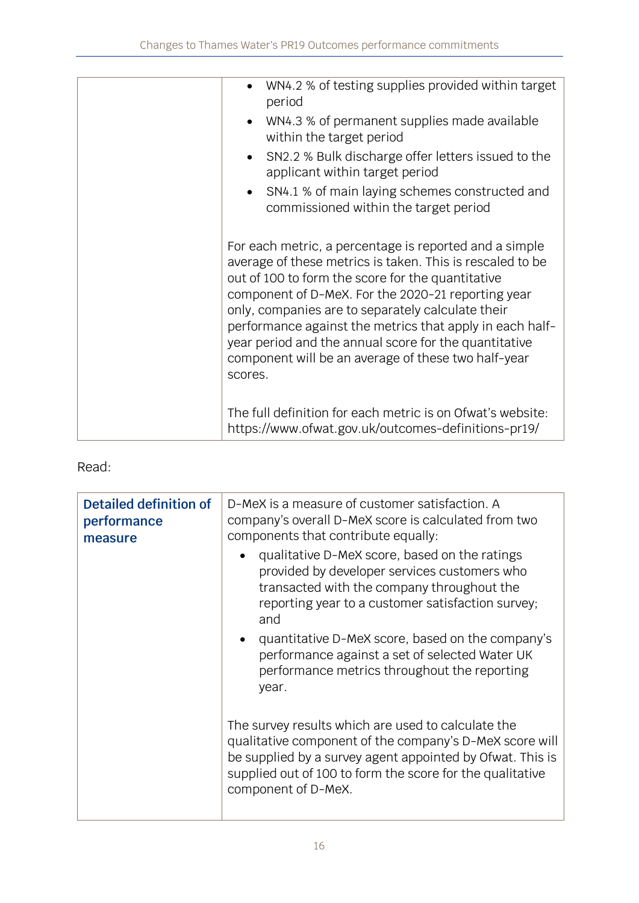| WN4.2 % of testing supplies provided within target<br>period<br>WN4.3 % of permanent supplies made available<br>within the target period<br>• SN2.2 % Bulk discharge offer letters issued to the<br>applicant within target period<br>• SN4.1 % of main laying schemes constructed and<br>commissioned within the target period                                                                                                                                            |
|----------------------------------------------------------------------------------------------------------------------------------------------------------------------------------------------------------------------------------------------------------------------------------------------------------------------------------------------------------------------------------------------------------------------------------------------------------------------------|
| For each metric, a percentage is reported and a simple<br>average of these metrics is taken. This is rescaled to be<br>out of 100 to form the score for the quantitative<br>component of D-MeX. For the 2020-21 reporting year<br>only, companies are to separately calculate their<br>performance against the metrics that apply in each half-<br>year period and the annual score for the quantitative<br>component will be an average of these two half-year<br>scores. |
| The full definition for each metric is on Ofwat's website:<br>https://www.ofwat.gov.uk/outcomes-definitions-pr19/                                                                                                                                                                                                                                                                                                                                                          |

| Detailed definition of<br>performance<br>measure | D-MeX is a measure of customer satisfaction. A<br>company's overall D-MeX score is calculated from two<br>components that contribute equally:                                                                                                                  |  |
|--------------------------------------------------|----------------------------------------------------------------------------------------------------------------------------------------------------------------------------------------------------------------------------------------------------------------|--|
|                                                  | qualitative D-MeX score, based on the ratings<br>$\bullet$<br>provided by developer services customers who<br>transacted with the company throughout the<br>reporting year to a customer satisfaction survey;<br>and                                           |  |
|                                                  | quantitative D-MeX score, based on the company's<br>$\bullet$<br>performance against a set of selected Water UK<br>performance metrics throughout the reporting<br>year.                                                                                       |  |
|                                                  | The survey results which are used to calculate the<br>qualitative component of the company's D-MeX score will<br>be supplied by a survey agent appointed by Ofwat. This is<br>supplied out of 100 to form the score for the qualitative<br>component of D-MeX. |  |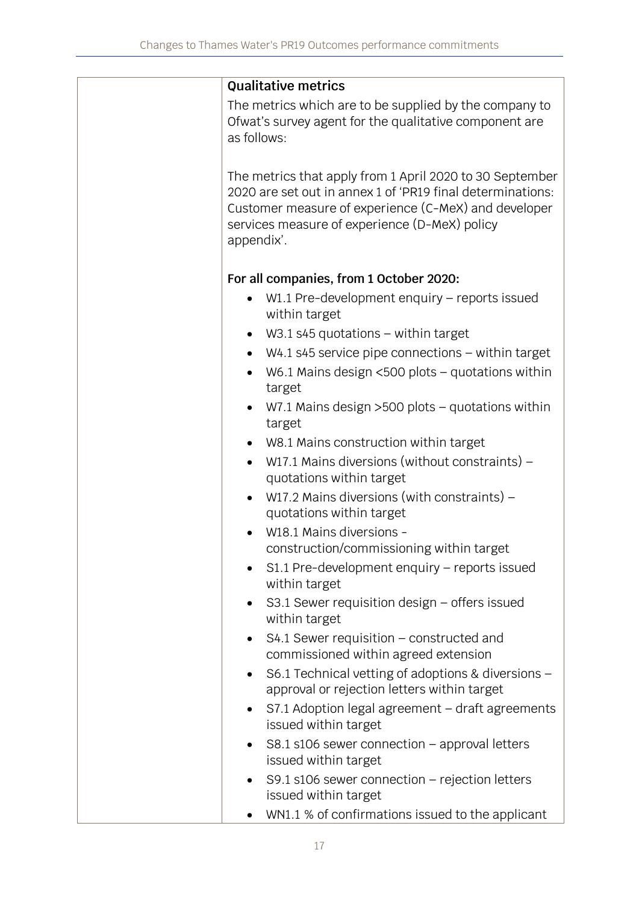|             | <b>Qualitative metrics</b>                                                                                                                                                                                                      |
|-------------|---------------------------------------------------------------------------------------------------------------------------------------------------------------------------------------------------------------------------------|
| as follows: | The metrics which are to be supplied by the company to<br>Ofwat's survey agent for the qualitative component are                                                                                                                |
| appendix'.  | The metrics that apply from 1 April 2020 to 30 September<br>2020 are set out in annex 1 of 'PR19 final determinations:<br>Customer measure of experience (C-MeX) and developer<br>services measure of experience (D-MeX) policy |
|             | For all companies, from 1 October 2020:                                                                                                                                                                                         |
| $\bullet$   | W1.1 Pre-development enquiry - reports issued<br>within target                                                                                                                                                                  |
| $\bullet$   | W3.1 s45 quotations $-$ within target                                                                                                                                                                                           |
| $\bullet$   | $W4.1$ s45 service pipe connections $-$ within target                                                                                                                                                                           |
| $\bullet$   | W6.1 Mains design $<500$ plots – quotations within<br>target                                                                                                                                                                    |
| $\bullet$   | W7.1 Mains design $>500$ plots - quotations within<br>target                                                                                                                                                                    |
| $\bullet$   | W8.1 Mains construction within target                                                                                                                                                                                           |
| $\bullet$   | W17.1 Mains diversions (without constraints) -<br>quotations within target                                                                                                                                                      |
| $\bullet$   | W17.2 Mains diversions (with constraints) $-$<br>quotations within target                                                                                                                                                       |
|             | W18.1 Mains diversions -<br>construction/commissioning within target                                                                                                                                                            |
|             | S1.1 Pre-development enquiry - reports issued<br>within target                                                                                                                                                                  |
|             | S3.1 Sewer requisition design – offers issued<br>within target                                                                                                                                                                  |
|             | S4.1 Sewer requisition - constructed and<br>commissioned within agreed extension                                                                                                                                                |
|             | S6.1 Technical vetting of adoptions & diversions -<br>approval or rejection letters within target                                                                                                                               |
|             | S7.1 Adoption legal agreement - draft agreements<br>issued within target                                                                                                                                                        |
|             | $S8.1$ s106 sewer connection – approval letters<br>issued within target                                                                                                                                                         |
|             | S9.1 s106 sewer connection $-$ rejection letters<br>issued within target                                                                                                                                                        |
|             | WN1.1 % of confirmations issued to the applicant                                                                                                                                                                                |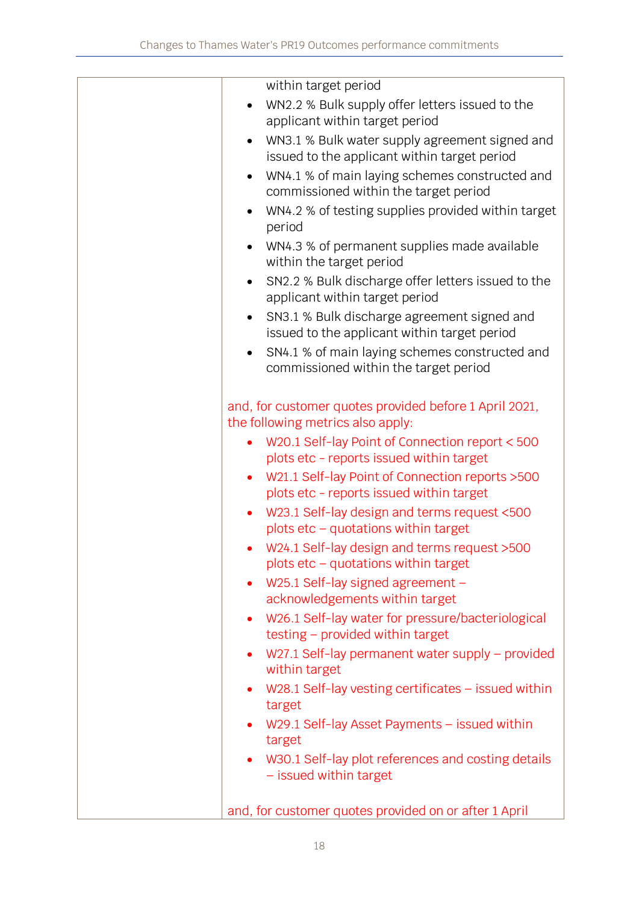|           | within target period                                                                        |
|-----------|---------------------------------------------------------------------------------------------|
|           | WN2.2 % Bulk supply offer letters issued to the                                             |
|           | applicant within target period                                                              |
| $\bullet$ | WN3.1 % Bulk water supply agreement signed and                                              |
|           | issued to the applicant within target period                                                |
| $\bullet$ | WN4.1 % of main laying schemes constructed and<br>commissioned within the target period     |
|           | WN4.2 % of testing supplies provided within target<br>period                                |
|           | WN4.3 % of permanent supplies made available<br>within the target period                    |
| $\bullet$ | SN2.2 % Bulk discharge offer letters issued to the<br>applicant within target period        |
| $\bullet$ | SN3.1 % Bulk discharge agreement signed and<br>issued to the applicant within target period |
|           | SN4.1 % of main laying schemes constructed and<br>commissioned within the target period     |
|           | and, for customer quotes provided before 1 April 2021,<br>the following metrics also apply: |
|           | W20.1 Self-lay Point of Connection report < 500<br>plots etc - reports issued within target |
| $\bullet$ | W21.1 Self-lay Point of Connection reports > 500                                            |
|           | plots etc - reports issued within target                                                    |
| $\bullet$ | W23.1 Self-lay design and terms request <500<br>plots etc - quotations within target        |
|           | W24.1 Self-lay design and terms request >500<br>plots $etc -$ quotations within target      |
| $\bullet$ | W25.1 Self-lay signed agreement -<br>acknowledgements within target                         |
| $\bullet$ | W26.1 Self-lay water for pressure/bacteriological<br>testing - provided within target       |
|           | W27.1 Self-lay permanent water supply - provided<br>within target                           |
|           | W28.1 Self-lay vesting certificates $-$ issued within<br>target                             |
| $\bullet$ | W29.1 Self-lay Asset Payments - issued within<br>target                                     |
| $\bullet$ | W30.1 Self-lay plot references and costing details<br>- issued within target                |
|           | and, for customer quotes provided on or after 1 April                                       |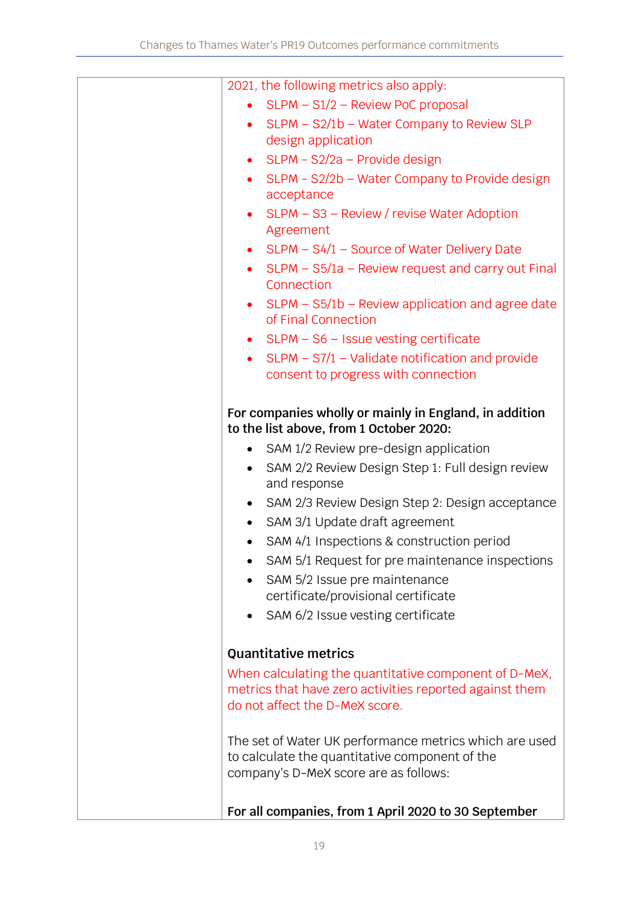| 2021, the following metrics also apply:                                                           |
|---------------------------------------------------------------------------------------------------|
| SLPM - S1/2 - Review PoC proposal                                                                 |
| SLPM - S2/1b - Water Company to Review SLP                                                        |
| design application                                                                                |
| SLPM - S2/2a - Provide design<br>$\bullet$                                                        |
| SLPM - S2/2b - Water Company to Provide design                                                    |
| acceptance                                                                                        |
| • $SLPM - S3 - Review / review$ and $Mear$ Adoption                                               |
| Agreement                                                                                         |
| • SLPM $-$ S4/1 $-$ Source of Water Delivery Date                                                 |
| • SLPM $-$ S5/1a $-$ Review request and carry out Final<br>Connection                             |
| • SLPM - S5/1b - Review application and agree date<br>of Final Connection                         |
| • $SLPM - S6 - Issue vesting certificate$                                                         |
| • SLPM $-$ S7/1 $-$ Validate notification and provide                                             |
| consent to progress with connection                                                               |
|                                                                                                   |
| For companies wholly or mainly in England, in addition<br>to the list above, from 1 October 2020: |
| SAM 1/2 Review pre-design application<br>$\bullet$                                                |
| SAM 2/2 Review Design Step 1: Full design review<br>$\bullet$                                     |
| and response                                                                                      |
| • SAM 2/3 Review Design Step 2: Design acceptance                                                 |
| SAM 3/1 Update draft agreement                                                                    |
| SAM 4/1 Inspections & construction period<br>$\bullet$                                            |
| SAM 5/1 Request for pre maintenance inspections<br>٠                                              |
| SAM 5/2 Issue pre maintenance                                                                     |
| certificate/provisional certificate                                                               |
| SAM 6/2 Issue vesting certificate                                                                 |
|                                                                                                   |
| <b>Quantitative metrics</b>                                                                       |
| When calculating the quantitative component of D-MeX,                                             |
| metrics that have zero activities reported against them                                           |
| do not affect the D-MeX score.                                                                    |
|                                                                                                   |
| The set of Water UK performance metrics which are used                                            |
| to calculate the quantitative component of the                                                    |
| company's D-MeX score are as follows:                                                             |
|                                                                                                   |
| For all companies, from 1 April 2020 to 30 September                                              |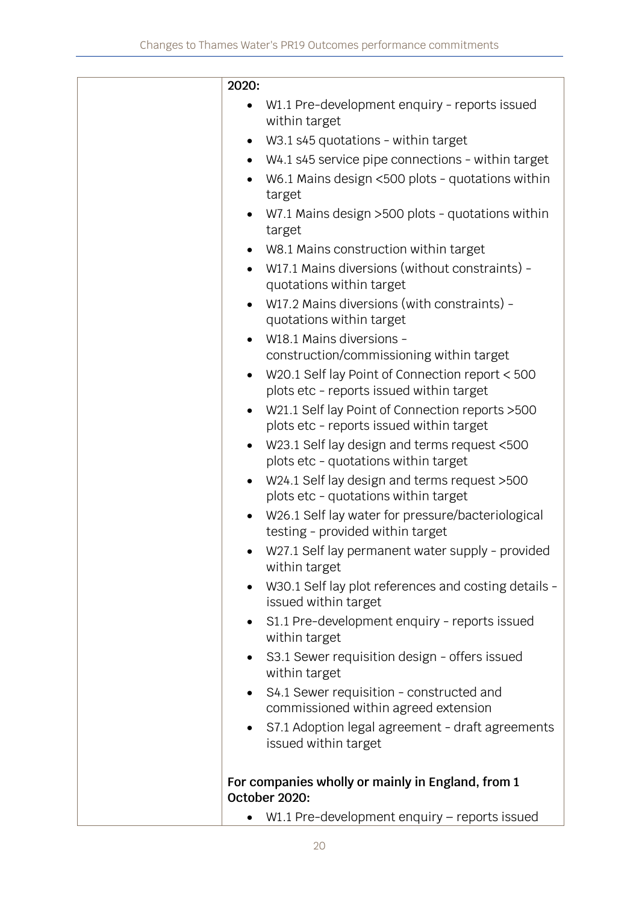| 2020:     |                                                                                              |
|-----------|----------------------------------------------------------------------------------------------|
|           | W1.1 Pre-development enquiry - reports issued<br>within target                               |
| $\bullet$ | W3.1 s45 quotations - within target                                                          |
| $\bullet$ | W4.1 s45 service pipe connections - within target                                            |
| $\bullet$ | W6.1 Mains design <500 plots - quotations within<br>target                                   |
| $\bullet$ | W7.1 Mains design >500 plots - quotations within<br>target                                   |
|           | W8.1 Mains construction within target                                                        |
| $\bullet$ | W17.1 Mains diversions (without constraints) -<br>quotations within target                   |
| $\bullet$ | W17.2 Mains diversions (with constraints) -<br>quotations within target                      |
|           | W18.1 Mains diversions -                                                                     |
|           | construction/commissioning within target                                                     |
| $\bullet$ | W20.1 Self lay Point of Connection report < 500<br>plots etc - reports issued within target  |
| $\bullet$ | W21.1 Self lay Point of Connection reports > 500<br>plots etc - reports issued within target |
| $\bullet$ | W23.1 Self lay design and terms request <500<br>plots etc - quotations within target         |
| $\bullet$ | W24.1 Self lay design and terms request >500<br>plots etc - quotations within target         |
|           | W26.1 Self lay water for pressure/bacteriological<br>testing - provided within target        |
|           | W27.1 Self lay permanent water supply - provided<br>within target                            |
| $\bullet$ | W30.1 Self lay plot references and costing details -<br>issued within target                 |
| $\bullet$ | S1.1 Pre-development enquiry - reports issued<br>within target                               |
| $\bullet$ | S3.1 Sewer requisition design - offers issued<br>within target                               |
| $\bullet$ | S4.1 Sewer requisition - constructed and<br>commissioned within agreed extension             |
| $\bullet$ | S7.1 Adoption legal agreement - draft agreements<br>issued within target                     |
|           | For companies wholly or mainly in England, from 1<br>October 2020:                           |
|           | W1.1 Pre-development enquiry - reports issued                                                |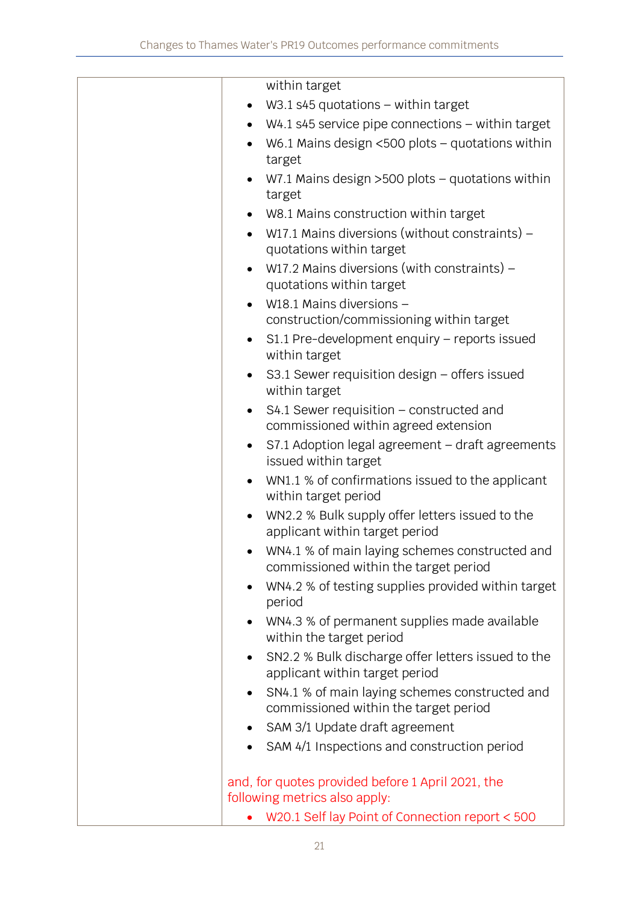|           | within target                                                                           |
|-----------|-----------------------------------------------------------------------------------------|
|           | W3.1 s45 quotations $-$ within target                                                   |
| $\bullet$ | $W4.1$ s45 service pipe connections $-$ within target                                   |
| $\bullet$ | W6.1 Mains design <500 plots - quotations within<br>target                              |
|           | W7.1 Mains design $>500$ plots - quotations within<br>target                            |
| $\bullet$ | W8.1 Mains construction within target                                                   |
| $\bullet$ | W17.1 Mains diversions (without constraints) –<br>quotations within target              |
| $\bullet$ | W17.2 Mains diversions (with constraints) $-$<br>quotations within target               |
|           | W18.1 Mains diversions -                                                                |
|           | construction/commissioning within target                                                |
|           | S1.1 Pre-development enquiry - reports issued<br>within target                          |
|           | S3.1 Sewer requisition design - offers issued<br>within target                          |
| $\bullet$ | S4.1 Sewer requisition - constructed and<br>commissioned within agreed extension        |
| $\bullet$ | S7.1 Adoption legal agreement - draft agreements<br>issued within target                |
|           | WN1.1 % of confirmations issued to the applicant<br>within target period                |
|           | WN2.2 % Bulk supply offer letters issued to the<br>applicant within target period       |
|           | WN4.1 % of main laying schemes constructed and<br>commissioned within the target period |
| $\bullet$ | WN4.2 % of testing supplies provided within target<br>period                            |
| $\bullet$ | WN4.3 % of permanent supplies made available<br>within the target period                |
| $\bullet$ | SN2.2 % Bulk discharge offer letters issued to the<br>applicant within target period    |
|           | SN4.1 % of main laying schemes constructed and<br>commissioned within the target period |
| $\bullet$ | SAM 3/1 Update draft agreement                                                          |
|           | SAM 4/1 Inspections and construction period                                             |
|           | and, for quotes provided before 1 April 2021, the<br>following metrics also apply:      |
|           | W20.1 Self lay Point of Connection report < 500                                         |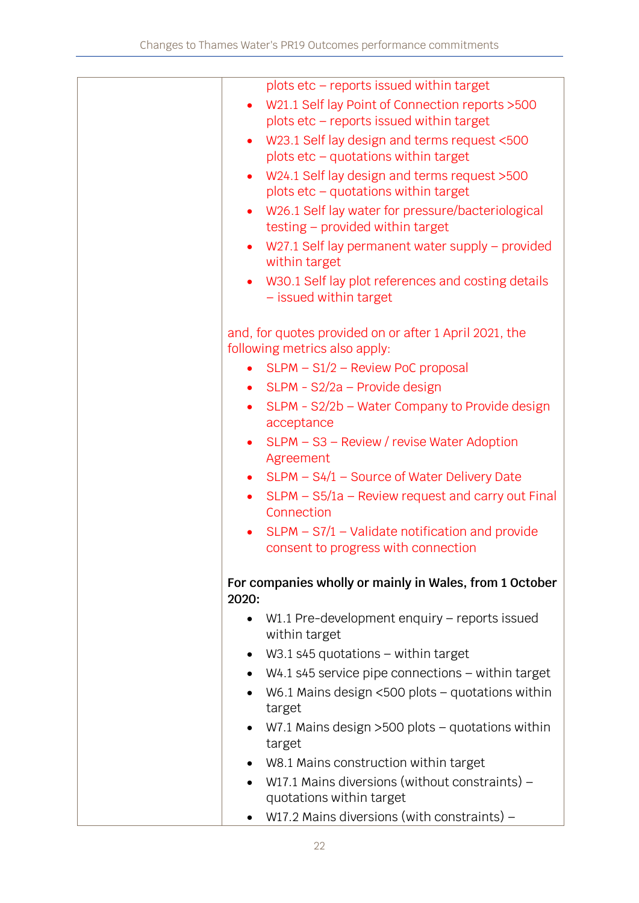|           | plots etc - reports issued within target                                     |
|-----------|------------------------------------------------------------------------------|
|           | W21.1 Self lay Point of Connection reports > 500                             |
|           | plots etc - reports issued within target                                     |
| $\bullet$ | W23.1 Self lay design and terms request <500                                 |
|           | plots etc - quotations within target                                         |
| $\bullet$ | W24.1 Self lay design and terms request >500                                 |
|           | plots $etc - quotations$ within target                                       |
| $\bullet$ | W26.1 Self lay water for pressure/bacteriological                            |
|           | testing - provided within target                                             |
| $\bullet$ | W27.1 Self lay permanent water supply – provided<br>within target            |
|           | W30.1 Self lay plot references and costing details<br>- issued within target |
|           | and, for quotes provided on or after 1 April 2021, the                       |
|           | following metrics also apply:                                                |
| $\bullet$ | SLPM - S1/2 - Review PoC proposal                                            |
|           | • SLPM - $S2/2a$ – Provide design                                            |
| $\bullet$ | SLPM - S2/2b - Water Company to Provide design<br>acceptance                 |
| $\bullet$ | SLPM – S3 – Review / revise Water Adoption<br>Agreement                      |
|           | • SLPM $-$ S4/1 $-$ Source of Water Delivery Date                            |
| $\bullet$ | SLPM - S5/1a - Review request and carry out Final                            |
|           | Connection                                                                   |
|           | SLPM - S7/1 - Validate notification and provide                              |
|           | consent to progress with connection                                          |
| 2020:     | For companies wholly or mainly in Wales, from 1 October                      |
| $\bullet$ | W1.1 Pre-development enquiry – reports issued<br>within target               |
|           | W3.1 s45 quotations $-$ within target                                        |
|           | $W4.1$ s45 service pipe connections $-$ within target                        |
|           | W6.1 Mains design $<500$ plots – quotations within                           |
|           | target                                                                       |
|           | W7.1 Mains design >500 plots - quotations within                             |
|           | target                                                                       |
|           | W8.1 Mains construction within target                                        |
|           | W17.1 Mains diversions (without constraints) –<br>quotations within target   |
| $\bullet$ | W17.2 Mains diversions (with constraints) $-$                                |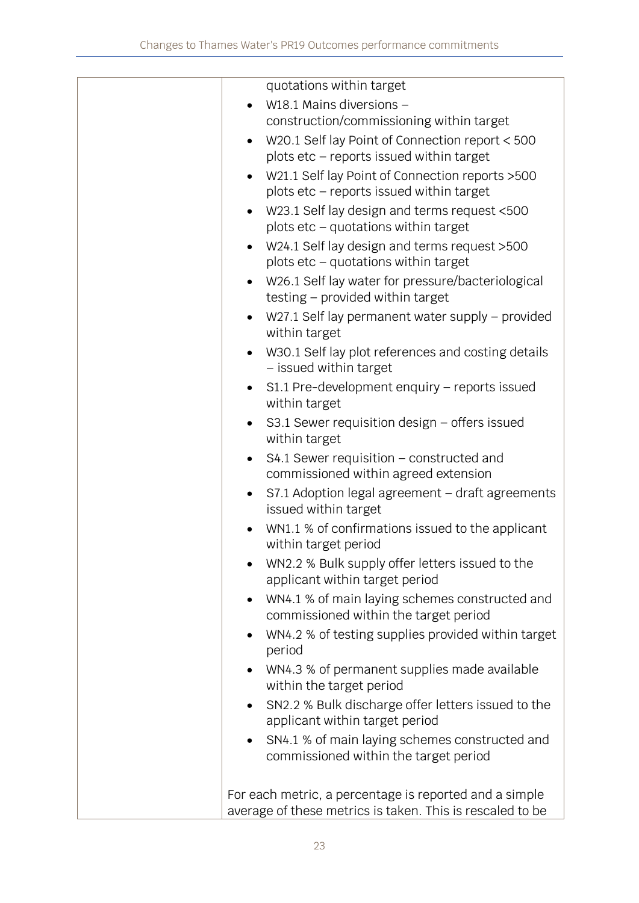| quotations within target                                                                             |
|------------------------------------------------------------------------------------------------------|
| W18.1 Mains diversions -                                                                             |
| construction/commissioning within target                                                             |
| W20.1 Self lay Point of Connection report < 500<br>$\bullet$                                         |
| plots etc - reports issued within target                                                             |
| W21.1 Self lay Point of Connection reports > 500<br>$\bullet$                                        |
| plots etc - reports issued within target                                                             |
| W23.1 Self lay design and terms request <500                                                         |
| plots etc - quotations within target                                                                 |
| W24.1 Self lay design and terms request >500<br>$\bullet$                                            |
| plots etc - quotations within target                                                                 |
| W26.1 Self lay water for pressure/bacteriological<br>$\bullet$<br>testing - provided within target   |
| W27.1 Self lay permanent water supply – provided<br>$\bullet$<br>within target                       |
| W30.1 Self lay plot references and costing details<br>- issued within target                         |
| $S1.1$ Pre-development enquiry – reports issued<br>$\bullet$<br>within target                        |
| S3.1 Sewer requisition design - offers issued<br>$\bullet$<br>within target                          |
| $S4.1$ Sewer requisition – constructed and<br>$\bullet$                                              |
| commissioned within agreed extension                                                                 |
| S7.1 Adoption legal agreement - draft agreements<br>$\bullet$<br>issued within target                |
| WN1.1 % of confirmations issued to the applicant<br>within target period                             |
| WN2.2 % Bulk supply offer letters issued to the<br>applicant within target period                    |
| WN4.1 % of main laying schemes constructed and<br>$\bullet$<br>commissioned within the target period |
| WN4.2 % of testing supplies provided within target<br>$\bullet$<br>period                            |
| WN4.3 % of permanent supplies made available<br>$\bullet$<br>within the target period                |
| SN2.2 % Bulk discharge offer letters issued to the<br>applicant within target period                 |
| SN4.1 % of main laying schemes constructed and<br>$\bullet$                                          |
| commissioned within the target period                                                                |
| For each metric, a percentage is reported and a simple                                               |
| average of these metrics is taken. This is rescaled to be                                            |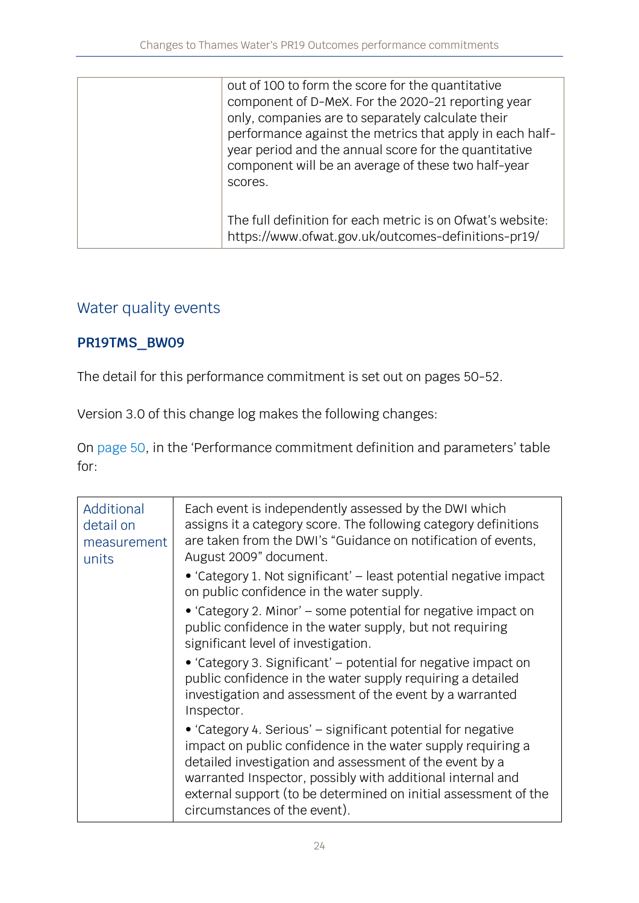| out of 100 to form the score for the quantitative<br>component of D-MeX. For the 2020-21 reporting year<br>only, companies are to separately calculate their<br>performance against the metrics that apply in each half-<br>year period and the annual score for the quantitative<br>component will be an average of these two half-year<br>scores. |
|-----------------------------------------------------------------------------------------------------------------------------------------------------------------------------------------------------------------------------------------------------------------------------------------------------------------------------------------------------|
| The full definition for each metric is on Ofwat's website:<br>https://www.ofwat.gov.uk/outcomes-definitions-pr19/                                                                                                                                                                                                                                   |

# Water quality events

#### **PR19TMS\_BW09**

The detail for this performance commitment is set out on pages 50-52.

Version 3.0 of this change log makes the following changes:

On [page 50](https://www.ofwat.gov.uk/wp-content/uploads/2019/12/PR19-final-determinations-Thames-Water-–-Outcomes-performance-commitment-appendix.pdf#page=51), in the 'Performance commitment definition and parameters' table for:

| Additional<br>detail on<br>measurement<br>units | Each event is independently assessed by the DWI which<br>assigns it a category score. The following category definitions<br>are taken from the DWI's "Guidance on notification of events,<br>August 2009" document.                                                                                                                                     |
|-------------------------------------------------|---------------------------------------------------------------------------------------------------------------------------------------------------------------------------------------------------------------------------------------------------------------------------------------------------------------------------------------------------------|
|                                                 | • 'Category 1. Not significant' – least potential negative impact<br>on public confidence in the water supply.                                                                                                                                                                                                                                          |
|                                                 | • 'Category 2. Minor' – some potential for negative impact on<br>public confidence in the water supply, but not requiring<br>significant level of investigation.                                                                                                                                                                                        |
|                                                 | • 'Category 3. Significant' – potential for negative impact on<br>public confidence in the water supply requiring a detailed<br>investigation and assessment of the event by a warranted<br>Inspector.                                                                                                                                                  |
|                                                 | • 'Category 4. Serious' – significant potential for negative<br>impact on public confidence in the water supply requiring a<br>detailed investigation and assessment of the event by a<br>warranted Inspector, possibly with additional internal and<br>external support (to be determined on initial assessment of the<br>circumstances of the event). |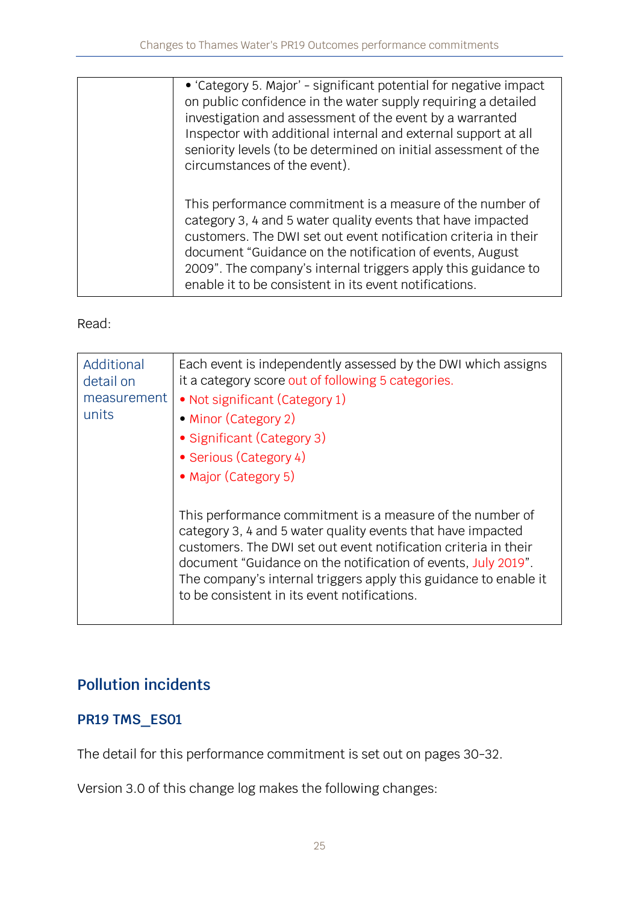| • 'Category 5. Major' - significant potential for negative impact<br>on public confidence in the water supply requiring a detailed<br>investigation and assessment of the event by a warranted<br>Inspector with additional internal and external support at all<br>seniority levels (to be determined on initial assessment of the<br>circumstances of the event).                |
|------------------------------------------------------------------------------------------------------------------------------------------------------------------------------------------------------------------------------------------------------------------------------------------------------------------------------------------------------------------------------------|
| This performance commitment is a measure of the number of<br>category 3, 4 and 5 water quality events that have impacted<br>customers. The DWI set out event notification criteria in their<br>document "Guidance on the notification of events, August<br>2009". The company's internal triggers apply this guidance to<br>enable it to be consistent in its event notifications. |

Read:

| Additional<br>detail on<br>measurement<br>units | Each event is independently assessed by the DWI which assigns<br>it a category score out of following 5 categories.<br>• Not significant (Category 1)<br>• Minor (Category 2)<br>• Significant (Category 3)<br>• Serious (Category 4)<br>• Major (Category 5)                                                                                                                    |
|-------------------------------------------------|----------------------------------------------------------------------------------------------------------------------------------------------------------------------------------------------------------------------------------------------------------------------------------------------------------------------------------------------------------------------------------|
|                                                 | This performance commitment is a measure of the number of<br>category 3, 4 and 5 water quality events that have impacted<br>customers. The DWI set out event notification criteria in their<br>document "Guidance on the notification of events, July 2019".<br>The company's internal triggers apply this guidance to enable it<br>to be consistent in its event notifications. |

# **Pollution incidents**

## **PR19 TMS\_ES01**

The detail for this performance commitment is set out on pages 30-32.

Version 3.0 of this change log makes the following changes: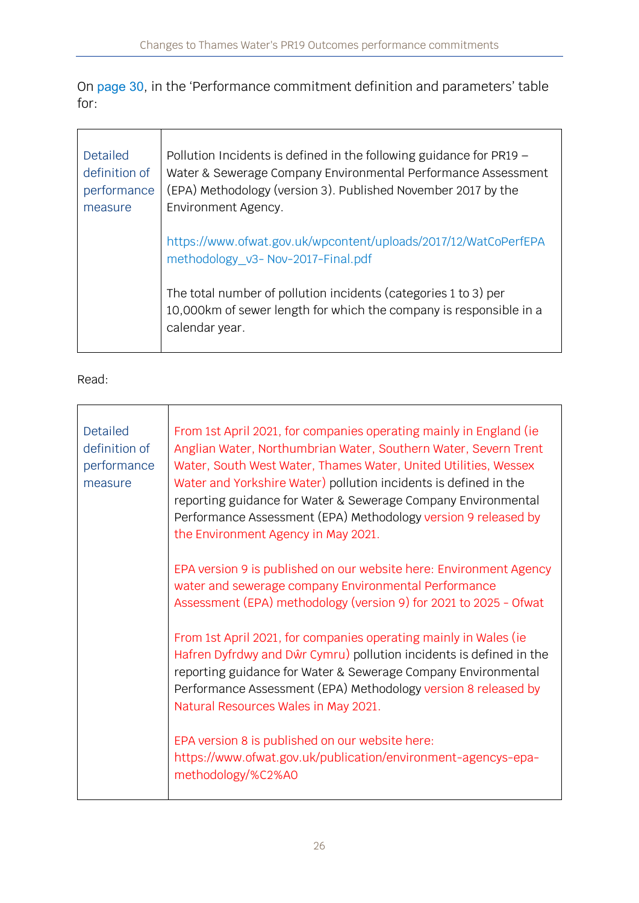On [page 30](https://www.ofwat.gov.uk/wp-content/uploads/2019/12/PR19-final-determinations-Thames-Water-%E2%80%93-Outcomes-performance-commitment-appendix.pdf#page=31), in the 'Performance commitment definition and parameters' table for:

| <b>Detailed</b><br>definition of<br>performance<br>measure | Pollution Incidents is defined in the following guidance for $PR19 -$<br>Water & Sewerage Company Environmental Performance Assessment<br>(EPA) Methodology (version 3). Published November 2017 by the<br>Environment Agency. |
|------------------------------------------------------------|--------------------------------------------------------------------------------------------------------------------------------------------------------------------------------------------------------------------------------|
|                                                            | https://www.ofwat.gov.uk/wpcontent/uploads/2017/12/WatCoPerfEPA<br>methodology_v3- Nov-2017-Final.pdf                                                                                                                          |
|                                                            | The total number of pollution incidents (categories 1 to 3) per<br>10,000km of sewer length for which the company is responsible in a<br>calendar year.                                                                        |

#### Read:

 $\mathbf{r}$ 

 $\overline{\phantom{a}}$ 

| <b>Detailed</b><br>definition of<br>performance<br>measure | From 1st April 2021, for companies operating mainly in England (ie<br>Anglian Water, Northumbrian Water, Southern Water, Severn Trent<br>Water, South West Water, Thames Water, United Utilities, Wessex<br>Water and Yorkshire Water) pollution incidents is defined in the<br>reporting guidance for Water & Sewerage Company Environmental<br>Performance Assessment (EPA) Methodology version 9 released by<br>the Environment Agency in May 2021. |
|------------------------------------------------------------|--------------------------------------------------------------------------------------------------------------------------------------------------------------------------------------------------------------------------------------------------------------------------------------------------------------------------------------------------------------------------------------------------------------------------------------------------------|
|                                                            | EPA version 9 is published on our website here: Environment Agency<br>water and sewerage company Environmental Performance<br>Assessment (EPA) methodology (version 9) for 2021 to 2025 - Ofwat                                                                                                                                                                                                                                                        |
|                                                            | From 1st April 2021, for companies operating mainly in Wales (ie<br>Hafren Dyfrdwy and Dŵr Cymru) pollution incidents is defined in the<br>reporting guidance for Water & Sewerage Company Environmental<br>Performance Assessment (EPA) Methodology version 8 released by<br>Natural Resources Wales in May 2021.                                                                                                                                     |
|                                                            | EPA version 8 is published on our website here:<br>https://www.ofwat.gov.uk/publication/environment-agencys-epa-<br>methodology/%C2%A0                                                                                                                                                                                                                                                                                                                 |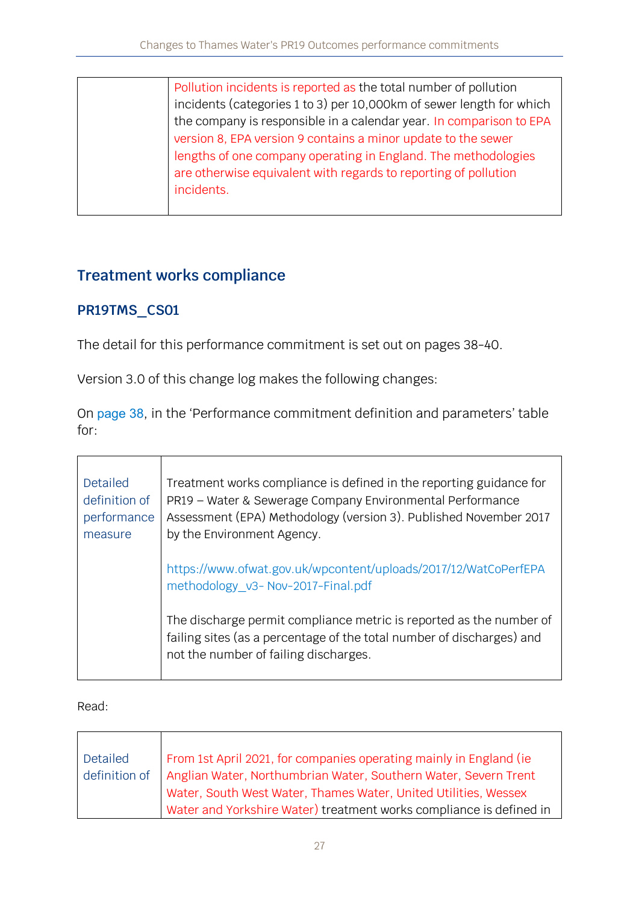| Pollution incidents is reported as the total number of pollution     |
|----------------------------------------------------------------------|
| incidents (categories 1 to 3) per 10,000km of sewer length for which |
| the company is responsible in a calendar year. In comparison to EPA  |
| version 8, EPA version 9 contains a minor update to the sewer        |
| lengths of one company operating in England. The methodologies       |
| are otherwise equivalent with regards to reporting of pollution      |
| incidents.                                                           |
|                                                                      |

## **Treatment works compliance**

#### **PR19TMS\_CS01**

The detail for this performance commitment is set out on pages 38-40.

Version 3.0 of this change log makes the following changes:

On [page 38](https://www.ofwat.gov.uk/wp-content/uploads/2019/12/PR19-final-determinations-Thames-Water-%E2%80%93-Outcomes-performance-commitment-appendix.pdf#page=39), in the 'Performance commitment definition and parameters' table for:

| Detailed<br>definition of<br>performance<br>measure | Treatment works compliance is defined in the reporting guidance for<br>PR19 - Water & Sewerage Company Environmental Performance<br>Assessment (EPA) Methodology (version 3). Published November 2017<br>by the Environment Agency. |
|-----------------------------------------------------|-------------------------------------------------------------------------------------------------------------------------------------------------------------------------------------------------------------------------------------|
|                                                     | https://www.ofwat.gov.uk/wpcontent/uploads/2017/12/WatCoPerfEPA<br>methodology_v3- Nov-2017-Final.pdf                                                                                                                               |
|                                                     | The discharge permit compliance metric is reported as the number of<br>failing sites (as a percentage of the total number of discharges) and<br>not the number of failing discharges.                                               |

| Detailed                                                        | From 1st April 2021, for companies operating mainly in England (ie) |
|-----------------------------------------------------------------|---------------------------------------------------------------------|
| definition of                                                   | Anglian Water, Northumbrian Water, Southern Water, Severn Trent     |
| Water, South West Water, Thames Water, United Utilities, Wessex |                                                                     |
|                                                                 | Water and Yorkshire Water) treatment works compliance is defined in |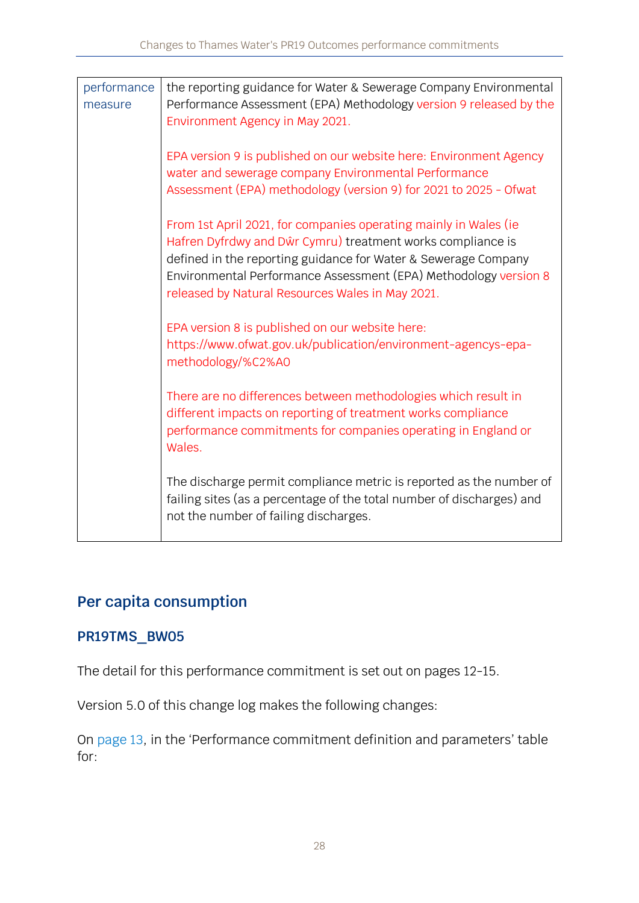| performance<br>measure | the reporting guidance for Water & Sewerage Company Environmental<br>Performance Assessment (EPA) Methodology version 9 released by the<br>Environment Agency in May 2021.                                                                                                                                                |
|------------------------|---------------------------------------------------------------------------------------------------------------------------------------------------------------------------------------------------------------------------------------------------------------------------------------------------------------------------|
|                        | EPA version 9 is published on our website here: Environment Agency<br>water and sewerage company Environmental Performance<br>Assessment (EPA) methodology (version 9) for 2021 to 2025 - Ofwat                                                                                                                           |
|                        | From 1st April 2021, for companies operating mainly in Wales (ie<br>Hafren Dyfrdwy and Dŵr Cymru) treatment works compliance is<br>defined in the reporting guidance for Water & Sewerage Company<br>Environmental Performance Assessment (EPA) Methodology version 8<br>released by Natural Resources Wales in May 2021. |
|                        | EPA version 8 is published on our website here:<br>https://www.ofwat.gov.uk/publication/environment-agencys-epa-<br>methodology/%C2%A0                                                                                                                                                                                    |
|                        | There are no differences between methodologies which result in<br>different impacts on reporting of treatment works compliance<br>performance commitments for companies operating in England or<br>Wales.                                                                                                                 |
|                        | The discharge permit compliance metric is reported as the number of<br>failing sites (as a percentage of the total number of discharges) and<br>not the number of failing discharges.                                                                                                                                     |

# **Per capita consumption**

#### **PR19TMS\_BW05**

The detail for this performance commitment is set out on pages 12-15.

Version 5.0 of this change log makes the following changes:

On [page 13](https://www.ofwat.gov.uk/wp-content/uploads/2019/12/PR19-final-determinations-Thames-Water-%E2%80%93-Outcomes-performance-commitment-appendix.pdf#page=14), in the 'Performance commitment definition and parameters' table for: